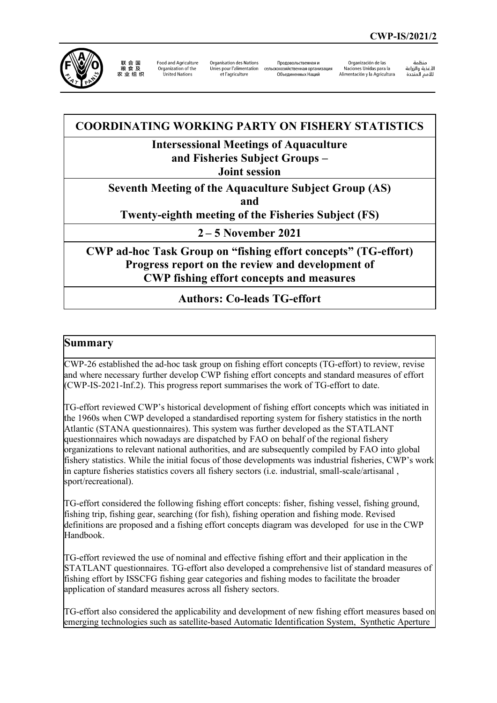

联合国<br>粮食及 农业组织

Food and Agriculture Organization of the United Nations

Organisation des Nations et l'agriculture

**Продовольственная и** Unies pour l'alimentation сельскохозяйственная организация Объединенных Наций

Organización de las Naciones Unidas para la Alimentación y la Agricultura

äohio سيست<br>ال*أ*غذية والزراعة للأمم المتحدة

# **COORDINATING WORKING PARTY ON FISHERY STATISTICS**

# **Intersessional Meetings of Aquaculture**

**and Fisheries Subject Groups –**

**Joint session**

**Seventh Meeting of the Aquaculture Subject Group (AS)** 

**and** 

**Twenty-eighth meeting of the Fisheries Subject (FS)**

**2 – 5 November 2021**

**CWP ad-hoc Task Group on "fishing effort concepts" (TG-effort) Progress report on the review and development of CWP fishing effort concepts and measures**

# **Authors: Co-leads TG-effort**

# **Summary**

CWP-26 established the ad-hoc task group on fishing effort concepts (TG-effort) to review, revise and where necessary further develop CWP fishing effort concepts and standard measures of effort (CWP-IS-2021-Inf.2). This progress report summarises the work of TG-effort to date.

TG-effort reviewed CWP's historical development of fishing effort concepts which was initiated in the 1960s when CWP developed a standardised reporting system for fishery statistics in the north Atlantic (STANA questionnaires). This system was further developed as the STATLANT questionnaires which nowadays are dispatched by FAO on behalf of the regional fishery organizations to relevant national authorities, and are subsequently compiled by FAO into global fishery statistics. While the initial focus of those developments was industrial fisheries, CWP's work in capture fisheries statistics covers all fishery sectors (i.e. industrial, small-scale/artisanal , sport/recreational).

TG-effort considered the following fishing effort concepts: fisher, fishing vessel, fishing ground, fishing trip, fishing gear, searching (for fish), fishing operation and fishing mode. Revised definitions are proposed and a fishing effort concepts diagram was developed for use in the CWP Handbook.

TG-effort reviewed the use of nominal and effective fishing effort and their application in the STATLANT questionnaires. TG-effort also developed a comprehensive list of standard measures of fishing effort by ISSCFG fishing gear categories and fishing modes to facilitate the broader application of standard measures across all fishery sectors.

TG-effort also considered the applicability and development of new fishing effort measures based on emerging technologies such as satellite-based Automatic Identification System, Synthetic Aperture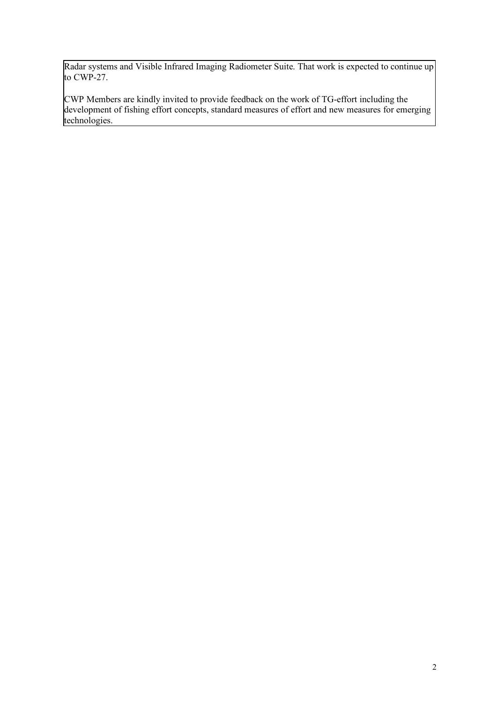Radar systems and Visible Infrared Imaging Radiometer Suite. That work is expected to continue up to CWP-27.

CWP Members are kindly invited to provide feedback on the work of TG-effort including the development of fishing effort concepts, standard measures of effort and new measures for emerging technologies.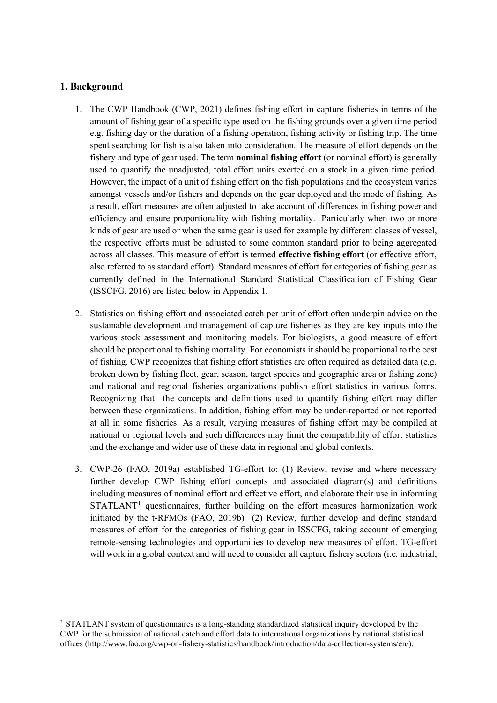### **1. Background**

- 1. The CWP Handbook (CWP, 2021) defines fishing effort in capture fisheries in terms of the amount of fishing gear of a specific type used on the fishing grounds over a given time period e.g. fishing day or the duration of a fishing operation, fishing activity or fishing trip. The time spent searching for fish is also taken into consideration. The measure of effort depends on the fishery and type of gear used. The term **nominal fishing effort** (or nominal effort) is generally used to quantify the unadjusted, total effort units exerted on a stock in a given time period. However, the impact of a unit of fishing effort on the fish populations and the ecosystem varies amongst vessels and/or fishers and depends on the gear deployed and the mode of fishing. As a result, effort measures are often adjusted to take account of differences in fishing power and efficiency and ensure proportionality with fishing mortality. Particularly when two or more kinds of gear are used or when the same gear is used for example by different classes of vessel, the respective efforts must be adjusted to some common standard prior to being aggregated across all classes. This measure of effort is termed **effective fishing effort** (or effective effort, also referred to as standard effort). Standard measures of effort for categories of fishing gear as currently defined in the International Standard Statistical Classification of Fishing Gear (ISSCFG, 2016) are listed below in Appendix 1.
- 2. Statistics on fishing effort and associated catch per unit of effort often underpin advice on the sustainable development and management of capture fisheries as they are key inputs into the various stock assessment and monitoring models. For biologists, a good measure of effort should be proportional to fishing mortality. For economists it should be proportional to the cost of fishing. CWP recognizes that fishing effort statistics are often required as detailed data (e.g. broken down by fishing fleet, gear, season, target species and geographic area or fishing zone) and national and regional fisheries organizations publish effort statistics in various forms. Recognizing that the concepts and definitions used to quantify fishing effort may differ between these organizations. In addition, fishing effort may be under-reported or not reported at all in some fisheries. As a result, varying measures of fishing effort may be compiled at national or regional levels and such differences may limit the compatibility of effort statistics and the exchange and wider use of these data in regional and global contexts.
- 3. CWP-26 (FAO, 2019a) established TG-effort to: (1) Review, revise and where necessary further develop CWP fishing effort concepts and associated diagram(s) and definitions including measures of nominal effort and effective effort, and elaborate their use in informing  $STATLANT<sup>1</sup>$  $STATLANT<sup>1</sup>$  $STATLANT<sup>1</sup>$  questionnaires, further building on the effort measures harmonization work initiated by the t-RFMOs (FAO, 2019b) (2) Review, further develop and define standard measures of effort for the categories of fishing gear in ISSCFG, taking account of emerging remote-sensing technologies and opportunities to develop new measures of effort. TG-effort will work in a global context and will need to consider all capture fishery sectors (i.e. industrial,

<span id="page-2-0"></span><sup>&</sup>lt;sup>1</sup> STATLANT system of questionnaires is a long-standing standardized statistical inquiry developed by the CWP for the submission of national catch and effort data to international organizations by national statistical offices (http://www.fao.org/cwp-on-fishery-statistics/handbook/introduction/data-collection-systems/en/).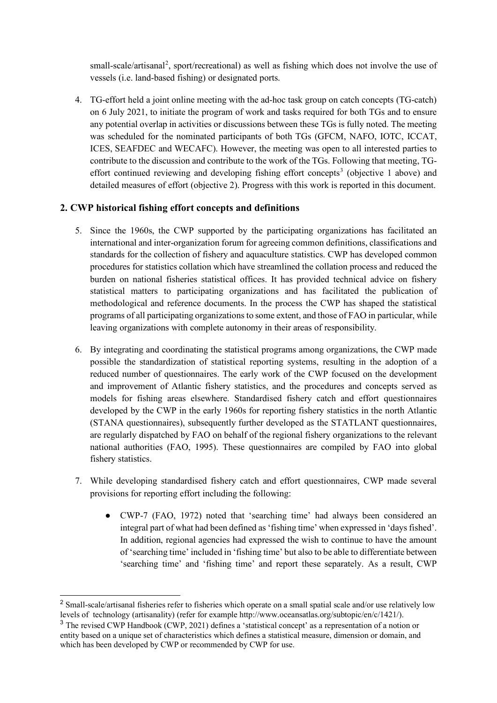small-scale/artisanal<sup>[2](#page-3-0)</sup>, sport/recreational) as well as fishing which does not involve the use of vessels (i.e. land-based fishing) or designated ports.

4. TG-effort held a joint online meeting with the ad-hoc task group on catch concepts (TG-catch) on 6 July 2021, to initiate the program of work and tasks required for both TGs and to ensure any potential overlap in activities or discussions between these TGs is fully noted. The meeting was scheduled for the nominated participants of both TGs (GFCM, NAFO, IOTC, ICCAT, ICES, SEAFDEC and WECAFC). However, the meeting was open to all interested parties to contribute to the discussion and contribute to the work of the TGs. Following that meeting, TG-effort continued reviewing and developing fishing effort concepts<sup>[3](#page-3-1)</sup> (objective 1 above) and detailed measures of effort (objective 2). Progress with this work is reported in this document.

# **2. CWP historical fishing effort concepts and definitions**

- 5. Since the 1960s, the CWP supported by the participating organizations has facilitated an international and inter-organization forum for agreeing common definitions, classifications and standards for the collection of fishery and aquaculture statistics. CWP has developed common procedures for statistics collation which have streamlined the collation process and reduced the burden on national fisheries statistical offices. It has provided technical advice on fishery statistical matters to participating organizations and has facilitated the publication of methodological and reference documents. In the process the CWP has shaped the statistical programs of all participating organizations to some extent, and those of FAO in particular, while leaving organizations with complete autonomy in their areas of responsibility.
- 6. By integrating and coordinating the statistical programs among organizations, the CWP made possible the standardization of statistical reporting systems, resulting in the adoption of a reduced number of questionnaires. The early work of the CWP focused on the development and improvement of Atlantic fishery statistics, and the procedures and concepts served as models for fishing areas elsewhere. Standardised fishery catch and effort questionnaires developed by the CWP in the early 1960s for reporting fishery statistics in the north Atlantic (STANA questionnaires), subsequently further developed as the STATLANT questionnaires, are regularly dispatched by FAO on behalf of the regional fishery organizations to the relevant national authorities (FAO, 1995). These questionnaires are compiled by FAO into global fishery statistics.
- 7. While developing standardised fishery catch and effort questionnaires, CWP made several provisions for reporting effort including the following:
	- CWP-7 (FAO, 1972) noted that 'searching time' had always been considered an integral part of what had been defined as 'fishing time' when expressed in 'days fished'. In addition, regional agencies had expressed the wish to continue to have the amount of 'searching time' included in 'fishing time' but also to be able to differentiate between 'searching time' and 'fishing time' and report these separately. As a result, CWP

<span id="page-3-0"></span><sup>&</sup>lt;sup>2</sup> Small-scale/artisanal fisheries refer to fisheries which operate on a small spatial scale and/or use relatively low levels of technology (artisanality) (refer for example http://www.oceansatlas.org/subtopic/en/c/1421/).

<span id="page-3-1"></span><sup>&</sup>lt;sup>3</sup> The revised CWP Handbook (CWP, 2021) defines a 'statistical concept' as a representation of a notion or entity based on a unique set of characteristics which defines a statistical measure, dimension or domain, and which has been developed by CWP or recommended by CWP for use.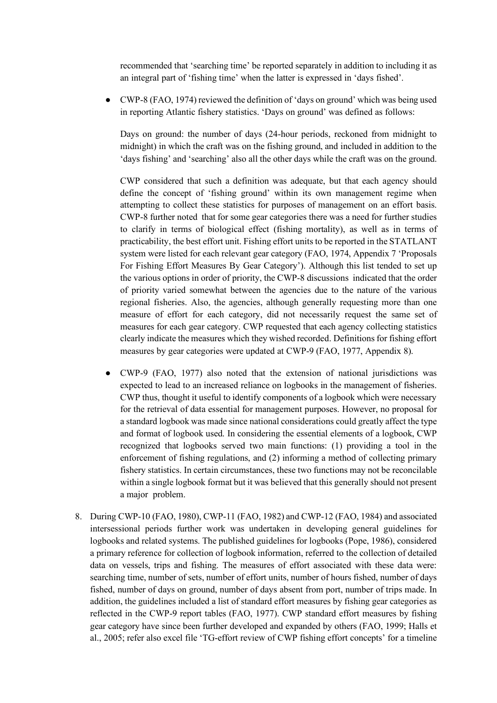recommended that 'searching time' be reported separately in addition to including it as an integral part of 'fishing time' when the latter is expressed in 'days fished'.

● CWP-8 (FAO, 1974) reviewed the definition of 'days on ground' which was being used in reporting Atlantic fishery statistics. 'Days on ground' was defined as follows:

Days on ground: the number of days (24-hour periods, reckoned from midnight to midnight) in which the craft was on the fishing ground, and included in addition to the 'days fishing' and 'searching' also all the other days while the craft was on the ground.

CWP considered that such a definition was adequate, but that each agency should define the concept of 'fishing ground' within its own management regime when attempting to collect these statistics for purposes of management on an effort basis. CWP-8 further noted that for some gear categories there was a need for further studies to clarify in terms of biological effect (fishing mortality), as well as in terms of practicability, the best effort unit. Fishing effort units to be reported in the STATLANT system were listed for each relevant gear category (FAO, 1974, Appendix 7 'Proposals For Fishing Effort Measures By Gear Category'). Although this list tended to set up the various options in order of priority, the CWP-8 discussions indicated that the order of priority varied somewhat between the agencies due to the nature of the various regional fisheries. Also, the agencies, although generally requesting more than one measure of effort for each category, did not necessarily request the same set of measures for each gear category. CWP requested that each agency collecting statistics clearly indicate the measures which they wished recorded. Definitions for fishing effort measures by gear categories were updated at CWP-9 (FAO, 1977, Appendix 8).

- CWP-9 (FAO, 1977) also noted that the extension of national jurisdictions was expected to lead to an increased reliance on logbooks in the management of fisheries. CWP thus, thought it useful to identify components of a logbook which were necessary for the retrieval of data essential for management purposes. However, no proposal for a standard logbook was made since national considerations could greatly affect the type and format of logbook used. In considering the essential elements of a logbook, CWP recognized that logbooks served two main functions: (1) providing a tool in the enforcement of fishing regulations, and (2) informing a method of collecting primary fishery statistics. In certain circumstances, these two functions may not be reconcilable within a single logbook format but it was believed that this generally should not present a major problem.
- 8. During CWP-10 (FAO, 1980), CWP-11 (FAO, 1982) and CWP-12 (FAO, 1984) and associated intersessional periods further work was undertaken in developing general guidelines for logbooks and related systems. The published guidelines for logbooks (Pope, 1986), considered a primary reference for collection of logbook information, referred to the collection of detailed data on vessels, trips and fishing. The measures of effort associated with these data were: searching time, number of sets, number of effort units, number of hours fished, number of days fished, number of days on ground, number of days absent from port, number of trips made. In addition, the guidelines included a list of standard effort measures by fishing gear categories as reflected in the CWP-9 report tables (FAO, 1977). CWP standard effort measures by fishing gear category have since been further developed and expanded by others (FAO, 1999; Halls et al., 2005; refer also excel file 'TG-effort review of CWP fishing effort concepts' for a timeline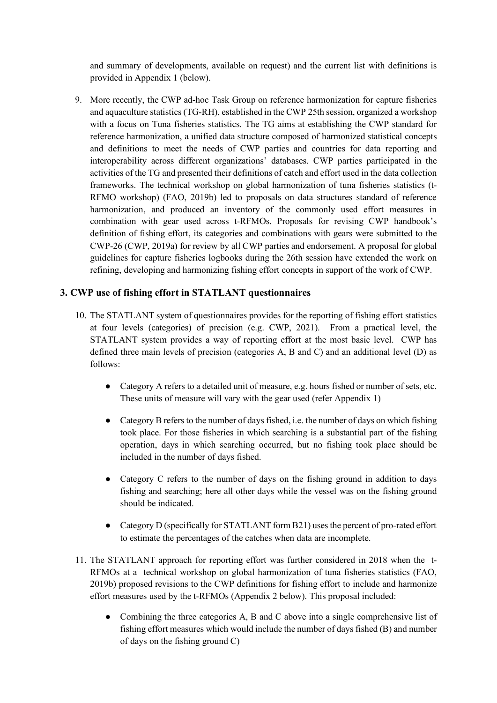and summary of developments, available on request) and the current list with definitions is provided in Appendix 1 (below).

9. More recently, the CWP ad-hoc Task Group on reference harmonization for capture fisheries and aquaculture statistics (TG-RH), established in the CWP 25th session, organized a workshop with a focus on Tuna fisheries statistics. The TG aims at establishing the CWP standard for reference harmonization, a unified data structure composed of harmonized statistical concepts and definitions to meet the needs of CWP parties and countries for data reporting and interoperability across different organizations' databases. CWP parties participated in the activities of the TG and presented their definitions of catch and effort used in the data collection frameworks. The technical workshop on global harmonization of tuna fisheries statistics (t-RFMO workshop) (FAO, 2019b) led to proposals on data structures standard of reference harmonization, and produced an inventory of the commonly used effort measures in combination with gear used across t-RFMOs. Proposals for revising CWP handbook's definition of fishing effort, its categories and combinations with gears were submitted to the CWP-26 (CWP, 2019a) for review by all CWP parties and endorsement. A proposal for global guidelines for capture fisheries logbooks during the 26th session have extended the work on refining, developing and harmonizing fishing effort concepts in support of the work of CWP.

# **3. CWP use of fishing effort in STATLANT questionnaires**

- 10. The STATLANT system of questionnaires provides for the reporting of fishing effort statistics at four levels (categories) of precision (e.g. CWP, 2021). From a practical level, the STATLANT system provides a way of reporting effort at the most basic level. CWP has defined three main levels of precision (categories A, B and C) and an additional level (D) as follows:
	- Category A refers to a detailed unit of measure, e.g. hours fished or number of sets, etc. These units of measure will vary with the gear used (refer Appendix 1)
	- Category B refers to the number of days fished, i.e. the number of days on which fishing took place. For those fisheries in which searching is a substantial part of the fishing operation, days in which searching occurred, but no fishing took place should be included in the number of days fished.
	- Category C refers to the number of days on the fishing ground in addition to days fishing and searching; here all other days while the vessel was on the fishing ground should be indicated.
	- Category D (specifically for STATLANT form B21) uses the percent of pro-rated effort to estimate the percentages of the catches when data are incomplete.
- 11. The STATLANT approach for reporting effort was further considered in 2018 when the t-RFMOs at a technical workshop on global harmonization of tuna fisheries statistics (FAO, 2019b) proposed revisions to the CWP definitions for fishing effort to include and harmonize effort measures used by the t-RFMOs (Appendix 2 below). This proposal included:
	- Combining the three categories A, B and C above into a single comprehensive list of fishing effort measures which would include the number of days fished (B) and number of days on the fishing ground C)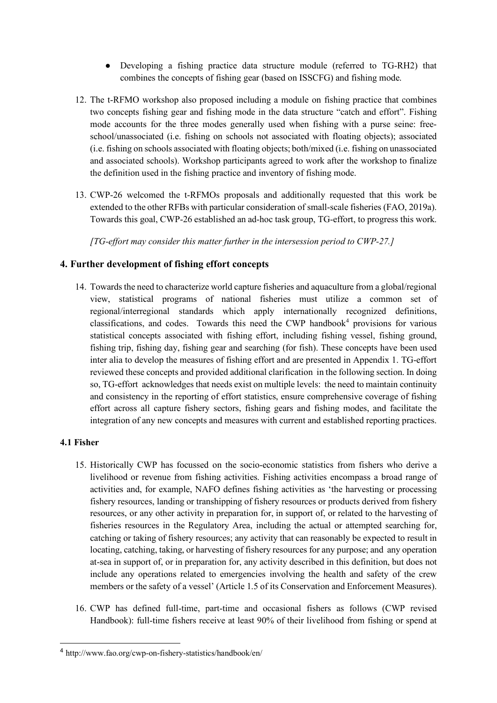- Developing a fishing practice data structure module (referred to TG-RH2) that combines the concepts of fishing gear (based on ISSCFG) and fishing mode.
- 12. The t-RFMO workshop also proposed including a module on fishing practice that combines two concepts fishing gear and fishing mode in the data structure "catch and effort". Fishing mode accounts for the three modes generally used when fishing with a purse seine: freeschool/unassociated (i.e. fishing on schools not associated with floating objects); associated (i.e. fishing on schools associated with floating objects; both/mixed (i.e. fishing on unassociated and associated schools). Workshop participants agreed to work after the workshop to finalize the definition used in the fishing practice and inventory of fishing mode.
- 13. CWP-26 welcomed the t-RFMOs proposals and additionally requested that this work be extended to the other RFBs with particular consideration of small-scale fisheries (FAO, 2019a). Towards this goal, CWP-26 established an ad-hoc task group, TG-effort, to progress this work.

*[TG-effort may consider this matter further in the intersession period to CWP-27.]*

# **4. Further development of fishing effort concepts**

14. Towards the need to characterize world capture fisheries and aquaculture from a global/regional view, statistical programs of national fisheries must utilize a common set of regional/interregional standards which apply internationally recognized definitions, classifications, and codes. Towards this need the CWP handbook<sup>[4](#page-6-0)</sup> provisions for various statistical concepts associated with fishing effort, including fishing vessel, fishing ground, fishing trip, fishing day, fishing gear and searching (for fish). These concepts have been used inter alia to develop the measures of fishing effort and are presented in Appendix 1. TG-effort reviewed these concepts and provided additional clarification in the following section. In doing so, TG-effort acknowledges that needs exist on multiple levels: the need to maintain continuity and consistency in the reporting of effort statistics, ensure comprehensive coverage of fishing effort across all capture fishery sectors, fishing gears and fishing modes, and facilitate the integration of any new concepts and measures with current and established reporting practices.

### **4.1 Fisher**

- 15. Historically CWP has focussed on the socio-economic statistics from fishers who derive a livelihood or revenue from fishing activities. Fishing activities encompass a broad range of activities and, for example, NAFO defines fishing activities as 'the harvesting or processing fishery resources, landing or transhipping of fishery resources or products derived from fishery resources, or any other activity in preparation for, in support of, or related to the harvesting of fisheries resources in the Regulatory Area, including the actual or attempted searching for, catching or taking of fishery resources; any activity that can reasonably be expected to result in locating, catching, taking, or harvesting of fishery resources for any purpose; and any operation at-sea in support of, or in preparation for, any activity described in this definition, but does not include any operations related to emergencies involving the health and safety of the crew members or the safety of a vessel' (Article 1.5 of its Conservation and Enforcement Measures).
- 16. CWP has defined full-time, part-time and occasional fishers as follows (CWP revised Handbook): full-time fishers receive at least 90% of their livelihood from fishing or spend at

<span id="page-6-0"></span><sup>4</sup> http://www.fao.org/cwp-on-fishery-statistics/handbook/en/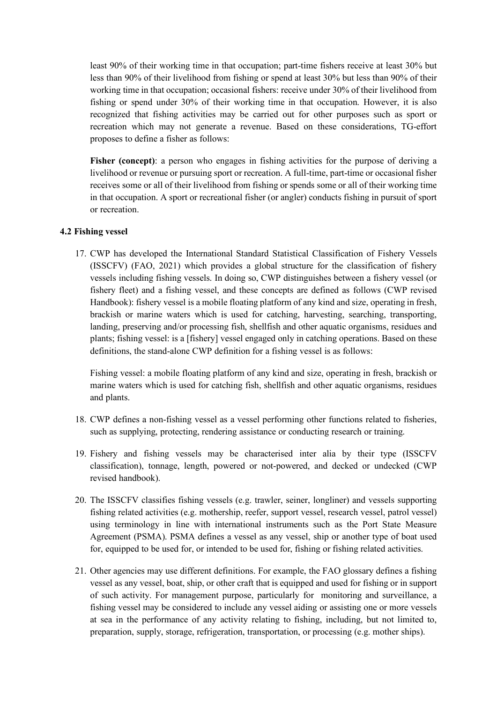least 90% of their working time in that occupation; part-time fishers receive at least 30% but less than 90% of their livelihood from fishing or spend at least 30% but less than 90% of their working time in that occupation; occasional fishers: receive under 30% of their livelihood from fishing or spend under 30% of their working time in that occupation. However, it is also recognized that fishing activities may be carried out for other purposes such as sport or recreation which may not generate a revenue. Based on these considerations, TG-effort proposes to define a fisher as follows:

Fisher (concept): a person who engages in fishing activities for the purpose of deriving a livelihood or revenue or pursuing sport or recreation. A full-time, part-time or occasional fisher receives some or all of their livelihood from fishing or spends some or all of their working time in that occupation. A sport or recreational fisher (or angler) conducts fishing in pursuit of sport or recreation.

#### **4.2 Fishing vessel**

17. CWP has developed the International Standard Statistical Classification of Fishery Vessels (ISSCFV) (FAO, 2021) which provides a global structure for the classification of fishery vessels including fishing vessels. In doing so, CWP distinguishes between a fishery vessel (or fishery fleet) and a fishing vessel, and these concepts are defined as follows (CWP revised Handbook): fishery vessel is a mobile floating platform of any kind and size, operating in fresh, brackish or marine waters which is used for catching, harvesting, searching, transporting, landing, preserving and/or processing fish, shellfish and other aquatic organisms, residues and plants; fishing vessel: is a [fishery] vessel engaged only in catching operations. Based on these definitions, the stand-alone CWP definition for a fishing vessel is as follows:

Fishing vessel: a mobile floating platform of any kind and size, operating in fresh, brackish or marine waters which is used for catching fish, shellfish and other aquatic organisms, residues and plants.

- 18. CWP defines a non-fishing vessel as a vessel performing other functions related to fisheries, such as supplying, protecting, rendering assistance or conducting research or training.
- 19. Fishery and fishing vessels may be characterised inter alia by their type (ISSCFV classification), tonnage, length, powered or not-powered, and decked or undecked (CWP revised handbook).
- 20. The ISSCFV classifies fishing vessels (e.g. trawler, seiner, longliner) and vessels supporting fishing related activities (e.g. mothership, reefer, support vessel, research vessel, patrol vessel) using terminology in line with international instruments such as the Port State Measure Agreement (PSMA). PSMA defines a vessel as any vessel, ship or another type of boat used for, equipped to be used for, or intended to be used for, fishing or fishing related activities.
- 21. Other agencies may use different definitions. For example, the FAO glossary defines a fishing vessel as any vessel, boat, ship, or other craft that is equipped and used for fishing or in support of such activity. For management purpose, particularly for monitoring and surveillance, a fishing vessel may be considered to include any vessel aiding or assisting one or more vessels at sea in the performance of any activity relating to fishing, including, but not limited to, preparation, supply, storage, refrigeration, transportation, or processing (e.g. mother ships).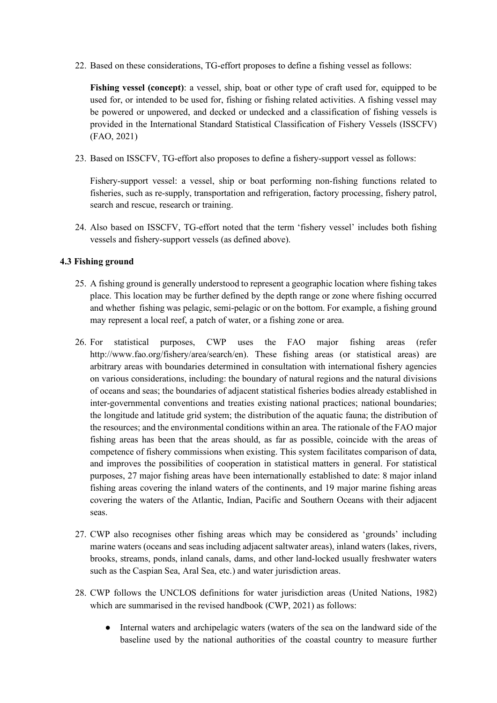22. Based on these considerations, TG-effort proposes to define a fishing vessel as follows:

**Fishing vessel (concept)**: a vessel, ship, boat or other type of craft used for, equipped to be used for, or intended to be used for, fishing or fishing related activities. A fishing vessel may be powered or unpowered, and decked or undecked and a classification of fishing vessels is provided in the International Standard Statistical Classification of Fishery Vessels (ISSCFV) (FAO, 2021)

23. Based on ISSCFV, TG-effort also proposes to define a fishery-support vessel as follows:

Fishery-support vessel: a vessel, ship or boat performing non-fishing functions related to fisheries, such as re-supply, transportation and refrigeration, factory processing, fishery patrol, search and rescue, research or training.

24. Also based on ISSCFV, TG-effort noted that the term 'fishery vessel' includes both fishing vessels and fishery-support vessels (as defined above).

### **4.3 Fishing ground**

- 25. A fishing ground is generally understood to represent a geographic location where fishing takes place. This location may be further defined by the depth range or zone where fishing occurred and whether fishing was pelagic, semi-pelagic or on the bottom. For example, a fishing ground may represent a local reef, a patch of water, or a fishing zone or area.
- 26. For statistical purposes, CWP uses the FAO major fishing areas (refer http://www.fao.org/fishery/area/search/en). These fishing areas (or statistical areas) are arbitrary areas with boundaries determined in consultation with international fishery agencies on various considerations, including: the boundary of natural regions and the natural divisions of oceans and seas; the boundaries of adjacent statistical fisheries bodies already established in inter-governmental conventions and treaties existing national practices; national boundaries; the longitude and latitude grid system; the distribution of the aquatic fauna; the distribution of the resources; and the environmental conditions within an area. The rationale of the FAO major fishing areas has been that the areas should, as far as possible, coincide with the areas of competence of fishery commissions when existing. This system facilitates comparison of data, and improves the possibilities of cooperation in statistical matters in general. For statistical purposes, 27 major fishing areas have been internationally established to date: 8 major inland fishing areas covering the inland waters of the continents, and 19 major marine fishing areas covering the waters of the Atlantic, Indian, Pacific and Southern Oceans with their adjacent seas.
- 27. CWP also recognises other fishing areas which may be considered as 'grounds' including marine waters (oceans and seas including adjacent saltwater areas), inland waters (lakes, rivers, brooks, streams, ponds, inland canals, dams, and other land-locked usually freshwater waters such as the Caspian Sea, Aral Sea, etc.) and water jurisdiction areas.
- 28. CWP follows the UNCLOS definitions for water jurisdiction areas (United Nations, 1982) which are summarised in the revised handbook (CWP, 2021) as follows:
	- Internal waters and archipelagic waters (waters of the sea on the landward side of the baseline used by the national authorities of the coastal country to measure further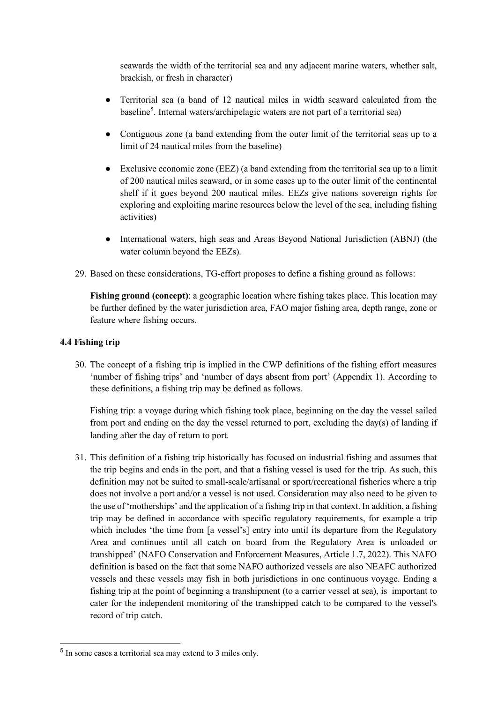seawards the width of the territorial sea and any adjacent marine waters, whether salt, brackish, or fresh in character)

- Territorial sea (a band of 12 nautical miles in width seaward calculated from the baseline<sup>[5](#page-9-0)</sup>. Internal waters/archipelagic waters are not part of a territorial sea)
- Contiguous zone (a band extending from the outer limit of the territorial seas up to a limit of 24 nautical miles from the baseline)
- Exclusive economic zone (EEZ) (a band extending from the territorial sea up to a limit of 200 nautical miles seaward, or in some cases up to the outer limit of the continental shelf if it goes beyond 200 nautical miles. EEZs give nations sovereign rights for exploring and exploiting marine resources below the level of the sea, including fishing activities)
- International waters, high seas and Areas Beyond National Jurisdiction (ABNJ) (the water column beyond the EEZs).
- 29. Based on these considerations, TG-effort proposes to define a fishing ground as follows:

**Fishing ground (concept)**: a geographic location where fishing takes place. This location may be further defined by the water jurisdiction area, FAO major fishing area, depth range, zone or feature where fishing occurs.

#### **4.4 Fishing trip**

30. The concept of a fishing trip is implied in the CWP definitions of the fishing effort measures 'number of fishing trips' and 'number of days absent from port' (Appendix 1). According to these definitions, a fishing trip may be defined as follows.

Fishing trip: a voyage during which fishing took place, beginning on the day the vessel sailed from port and ending on the day the vessel returned to port, excluding the day(s) of landing if landing after the day of return to port.

31. This definition of a fishing trip historically has focused on industrial fishing and assumes that the trip begins and ends in the port, and that a fishing vessel is used for the trip. As such, this definition may not be suited to small-scale/artisanal or sport/recreational fisheries where a trip does not involve a port and/or a vessel is not used. Consideration may also need to be given to the use of 'motherships' and the application of a fishing trip in that context. In addition, a fishing trip may be defined in accordance with specific regulatory requirements, for example a trip which includes 'the time from [a vessel's] entry into until its departure from the Regulatory Area and continues until all catch on board from the Regulatory Area is unloaded or transhipped' (NAFO Conservation and Enforcement Measures, Article 1.7, 2022). This NAFO definition is based on the fact that some NAFO authorized vessels are also NEAFC authorized vessels and these vessels may fish in both jurisdictions in one continuous voyage. Ending a fishing trip at the point of beginning a transhipment (to a carrier vessel at sea), is important to cater for the independent monitoring of the transhipped catch to be compared to the vessel's record of trip catch.

<span id="page-9-0"></span><sup>5</sup> In some cases a territorial sea may extend to 3 miles only.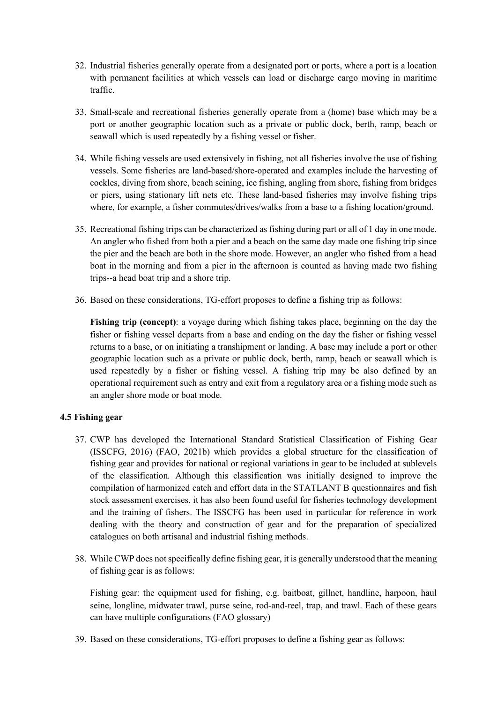- 32. Industrial fisheries generally operate from a designated port or ports, where a port is a location with permanent facilities at which vessels can load or discharge cargo moving in maritime traffic.
- 33. Small-scale and recreational fisheries generally operate from a (home) base which may be a port or another geographic location such as a private or public dock, berth, ramp, beach or seawall which is used repeatedly by a fishing vessel or fisher.
- 34. While fishing vessels are used extensively in fishing, not all fisheries involve the use of fishing vessels. Some fisheries are land-based/shore-operated and examples include the harvesting of cockles, diving from shore, beach seining, ice fishing, angling from shore, fishing from bridges or piers, using stationary lift nets etc. These land-based fisheries may involve fishing trips where, for example, a fisher commutes/drives/walks from a base to a fishing location/ground.
- 35. Recreational fishing trips can be characterized as fishing during part or all of 1 day in one mode. An angler who fished from both a pier and a beach on the same day made one fishing trip since the pier and the beach are both in the shore mode. However, an angler who fished from a head boat in the morning and from a pier in the afternoon is counted as having made two fishing trips--a head boat trip and a shore trip.
- 36. Based on these considerations, TG-effort proposes to define a fishing trip as follows:

**Fishing trip (concept)**: a voyage during which fishing takes place, beginning on the day the fisher or fishing vessel departs from a base and ending on the day the fisher or fishing vessel returns to a base, or on initiating a transhipment or landing. A base may include a port or other geographic location such as a private or public dock, berth, ramp, beach or seawall which is used repeatedly by a fisher or fishing vessel. A fishing trip may be also defined by an operational requirement such as entry and exit from a regulatory area or a fishing mode such as an angler shore mode or boat mode.

#### **4.5 Fishing gear**

- 37. CWP has developed the International Standard Statistical Classification of Fishing Gear (ISSCFG, 2016) (FAO, 2021b) which provides a global structure for the classification of fishing gear and provides for national or regional variations in gear to be included at sublevels of the classification. Although this classification was initially designed to improve the compilation of harmonized catch and effort data in the STATLANT B questionnaires and fish stock assessment exercises, it has also been found useful for fisheries technology development and the training of fishers. The ISSCFG has been used in particular for reference in work dealing with the theory and construction of gear and for the preparation of specialized catalogues on both artisanal and industrial fishing methods.
- 38. While CWP does not specifically define fishing gear, it is generally understood that the meaning of fishing gear is as follows:

Fishing gear: the equipment used for fishing, e.g. baitboat, gillnet, handline, harpoon, haul seine, longline, midwater trawl, purse seine, rod-and-reel, trap, and trawl. Each of these gears can have multiple configurations (FAO glossary)

39. Based on these considerations, TG-effort proposes to define a fishing gear as follows: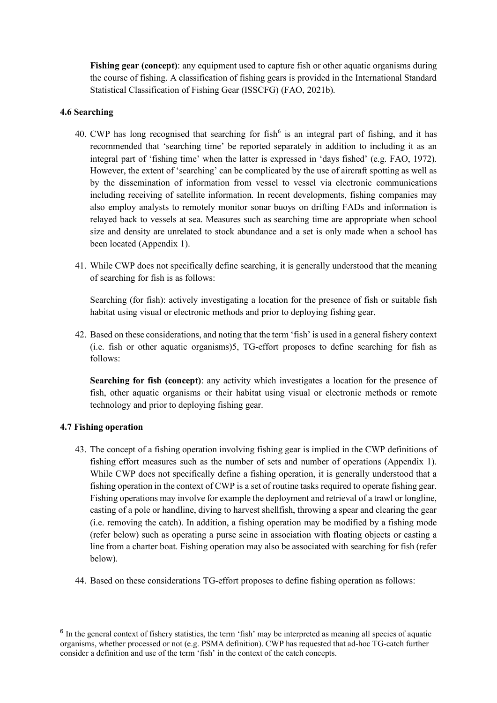**Fishing gear (concept)**: any equipment used to capture fish or other aquatic organisms during the course of fishing. A classification of fishing gears is provided in the International Standard Statistical Classification of Fishing Gear (ISSCFG) (FAO, 2021b).

#### **4.6 Searching**

- 40. CWP has long recognised that searching for fish<sup> $6$ </sup> is an integral part of fishing, and it has recommended that 'searching time' be reported separately in addition to including it as an integral part of 'fishing time' when the latter is expressed in 'days fished' (e.g. FAO, 1972). However, the extent of 'searching' can be complicated by the use of aircraft spotting as well as by the dissemination of information from vessel to vessel via electronic communications including receiving of satellite information. In recent developments, fishing companies may also employ analysts to remotely monitor sonar buoys on drifting FADs and information is relayed back to vessels at sea. Measures such as searching time are appropriate when school size and density are unrelated to stock abundance and a set is only made when a school has been located (Appendix 1).
- 41. While CWP does not specifically define searching, it is generally understood that the meaning of searching for fish is as follows:

Searching (for fish): actively investigating a location for the presence of fish or suitable fish habitat using visual or electronic methods and prior to deploying fishing gear.

42. Based on these considerations, and noting that the term 'fish' is used in a general fishery context (i.e. fish or other aquatic organisms)5, TG-effort proposes to define searching for fish as follows:

**Searching for fish (concept)**: any activity which investigates a location for the presence of fish, other aquatic organisms or their habitat using visual or electronic methods or remote technology and prior to deploying fishing gear.

#### **4.7 Fishing operation**

- 43. The concept of a fishing operation involving fishing gear is implied in the CWP definitions of fishing effort measures such as the number of sets and number of operations (Appendix 1). While CWP does not specifically define a fishing operation, it is generally understood that a fishing operation in the context of CWP is a set of routine tasks required to operate fishing gear. Fishing operations may involve for example the deployment and retrieval of a trawl or longline, casting of a pole or handline, diving to harvest shellfish, throwing a spear and clearing the gear (i.e. removing the catch). In addition, a fishing operation may be modified by a fishing mode (refer below) such as operating a purse seine in association with floating objects or casting a line from a charter boat. Fishing operation may also be associated with searching for fish (refer below).
- 44. Based on these considerations TG-effort proposes to define fishing operation as follows:

<span id="page-11-0"></span><sup>&</sup>lt;sup>6</sup> In the general context of fishery statistics, the term 'fish' may be interpreted as meaning all species of aquatic organisms, whether processed or not (e.g. PSMA definition). CWP has requested that ad-hoc TG-catch further consider a definition and use of the term 'fish' in the context of the catch concepts.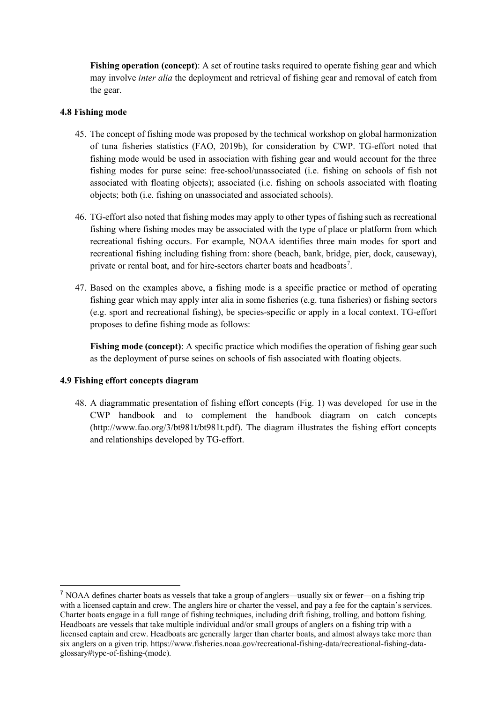**Fishing operation (concept):** A set of routine tasks required to operate fishing gear and which may involve *inter alia* the deployment and retrieval of fishing gear and removal of catch from the gear.

#### **4.8 Fishing mode**

- 45. The concept of fishing mode was proposed by the technical workshop on global harmonization of tuna fisheries statistics (FAO, 2019b), for consideration by CWP. TG-effort noted that fishing mode would be used in association with fishing gear and would account for the three fishing modes for purse seine: free-school/unassociated (i.e. fishing on schools of fish not associated with floating objects); associated (i.e. fishing on schools associated with floating objects; both (i.e. fishing on unassociated and associated schools).
- 46. TG-effort also noted that fishing modes may apply to other types of fishing such as recreational fishing where fishing modes may be associated with the type of place or platform from which recreational fishing occurs. For example, NOAA identifies three main modes for sport and recreational fishing including fishing from: shore (beach, bank, bridge, pier, dock, causeway), private or rental boat, and for hire-sectors charter boats and headboats<sup>[7](#page-12-0)</sup>.
- 47. Based on the examples above, a fishing mode is a specific practice or method of operating fishing gear which may apply inter alia in some fisheries (e.g. tuna fisheries) or fishing sectors (e.g. sport and recreational fishing), be species-specific or apply in a local context. TG-effort proposes to define fishing mode as follows:

**Fishing mode (concept)**: A specific practice which modifies the operation of fishing gear such as the deployment of purse seines on schools of fish associated with floating objects.

#### **4.9 Fishing effort concepts diagram**

48. A diagrammatic presentation of fishing effort concepts (Fig. 1) was developed for use in the CWP handbook and to complement the handbook diagram on catch concepts [\(http://www.fao.org/3/bt981t/bt981t.pdf\)](http://www.fao.org/3/bt981t/bt981t.pdf). The diagram illustrates the fishing effort concepts and relationships developed by TG-effort.

<span id="page-12-0"></span><sup>7</sup> NOAA defines charter boats as vessels that take a group of anglers—usually six or fewer—on a fishing trip with a licensed captain and crew. The anglers hire or charter the vessel, and pay a fee for the captain's services. Charter boats engage in a full range of fishing techniques, including drift fishing, trolling, and bottom fishing. Headboats are vessels that take multiple individual and/or small groups of anglers on a fishing trip with a licensed captain and crew. Headboats are generally larger than charter boats, and almost always take more than six anglers on a given trip. https://www.fisheries.noaa.gov/recreational-fishing-data/recreational-fishing-dataglossary#type-of-fishing-(mode).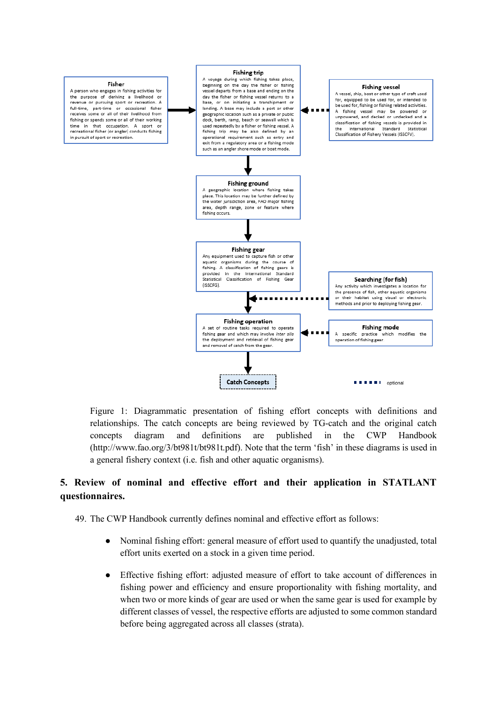

Figure 1: Diagrammatic presentation of fishing effort concepts with definitions and relationships. The catch concepts are being reviewed by TG-catch and the original catch concepts diagram and definitions are published in the CWP Handbook [\(http://www.fao.org/3/bt981t/bt981t.pdf\)](http://www.fao.org/3/bt981t/bt981t.pdf). Note that the term 'fish' in these diagrams is used in a general fishery context (i.e. fish and other aquatic organisms).

# **5. Review of nominal and effective effort and their application in STATLANT questionnaires.**

49. The CWP Handbook currently defines nominal and effective effort as follows:

- Nominal fishing effort: general measure of effort used to quantify the unadjusted, total effort units exerted on a stock in a given time period.
- Effective fishing effort: adjusted measure of effort to take account of differences in fishing power and efficiency and ensure proportionality with fishing mortality, and when two or more kinds of gear are used or when the same gear is used for example by different classes of vessel, the respective efforts are adjusted to some common standard before being aggregated across all classes (strata).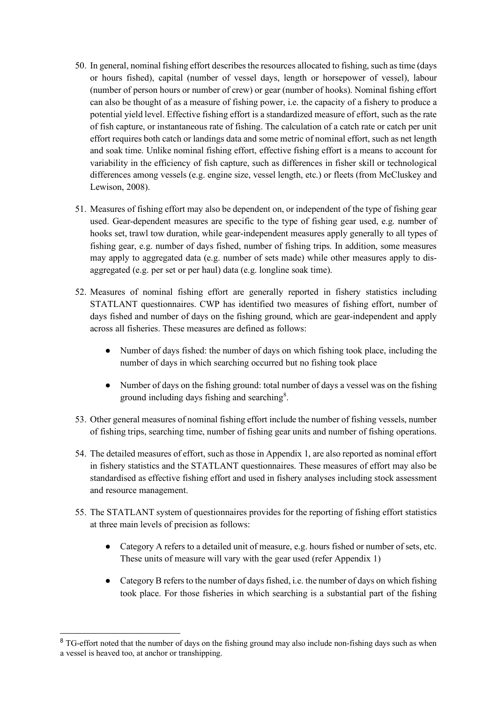- 50. In general, nominal fishing effort describes the resources allocated to fishing, such as time (days or hours fished), capital (number of vessel days, length or horsepower of vessel), labour (number of person hours or number of crew) or gear (number of hooks). Nominal fishing effort can also be thought of as a measure of fishing power, i.e. the capacity of a fishery to produce a potential yield level. Effective fishing effort is a standardized measure of effort, such as the rate of fish capture, or instantaneous rate of fishing. The calculation of a catch rate or catch per unit effort requires both catch or landings data and some metric of nominal effort, such as net length and soak time. Unlike nominal fishing effort, effective fishing effort is a means to account for variability in the efficiency of fish capture, such as differences in fisher skill or technological differences among vessels (e.g. engine size, vessel length, etc.) or fleets (from McCluskey and Lewison, 2008).
- 51. Measures of fishing effort may also be dependent on, or independent of the type of fishing gear used. Gear-dependent measures are specific to the type of fishing gear used, e.g. number of hooks set, trawl tow duration, while gear-independent measures apply generally to all types of fishing gear, e.g. number of days fished, number of fishing trips. In addition, some measures may apply to aggregated data (e.g. number of sets made) while other measures apply to disaggregated (e.g. per set or per haul) data (e.g. longline soak time).
- 52. Measures of nominal fishing effort are generally reported in fishery statistics including STATLANT questionnaires. CWP has identified two measures of fishing effort, number of days fished and number of days on the fishing ground, which are gear-independent and apply across all fisheries. These measures are defined as follows:
	- Number of days fished: the number of days on which fishing took place, including the number of days in which searching occurred but no fishing took place
	- Number of days on the fishing ground: total number of days a vessel was on the fishing ground including days fishing and searching<sup>[8](#page-14-0)</sup>.
- 53. Other general measures of nominal fishing effort include the number of fishing vessels, number of fishing trips, searching time, number of fishing gear units and number of fishing operations.
- 54. The detailed measures of effort, such as those in Appendix 1, are also reported as nominal effort in fishery statistics and the STATLANT questionnaires. These measures of effort may also be standardised as effective fishing effort and used in fishery analyses including stock assessment and resource management.
- 55. The STATLANT system of questionnaires provides for the reporting of fishing effort statistics at three main levels of precision as follows:
	- Category A refers to a detailed unit of measure, e.g. hours fished or number of sets, etc. These units of measure will vary with the gear used (refer Appendix 1)
	- Category B refers to the number of days fished, i.e. the number of days on which fishing took place. For those fisheries in which searching is a substantial part of the fishing

<span id="page-14-0"></span><sup>&</sup>lt;sup>8</sup> TG-effort noted that the number of days on the fishing ground may also include non-fishing days such as when a vessel is heaved too, at anchor or transhipping.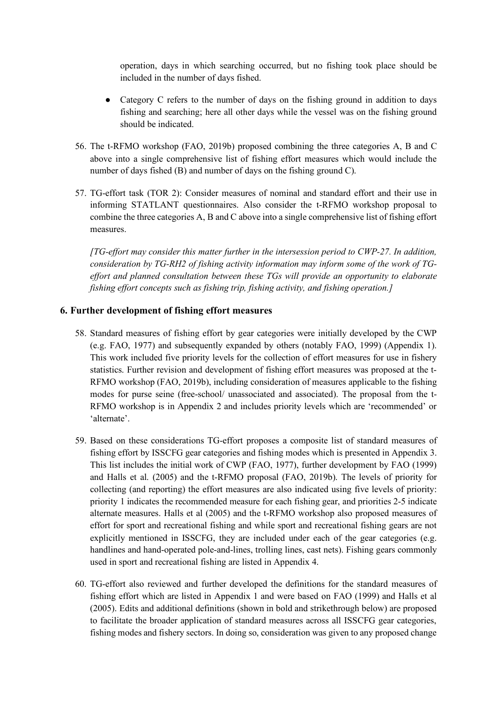operation, days in which searching occurred, but no fishing took place should be included in the number of days fished.

- Category C refers to the number of days on the fishing ground in addition to days fishing and searching; here all other days while the vessel was on the fishing ground should be indicated.
- 56. The t-RFMO workshop (FAO, 2019b) proposed combining the three categories A, B and C above into a single comprehensive list of fishing effort measures which would include the number of days fished (B) and number of days on the fishing ground C).
- 57. TG-effort task (TOR 2): Consider measures of nominal and standard effort and their use in informing STATLANT questionnaires. Also consider the t-RFMO workshop proposal to combine the three categories A, B and C above into a single comprehensive list of fishing effort measures.

*[TG-effort may consider this matter further in the intersession period to CWP-27. In addition, consideration by TG-RH2 of fishing activity information may inform some of the work of TGeffort and planned consultation between these TGs will provide an opportunity to elaborate fishing effort concepts such as fishing trip, fishing activity, and fishing operation.]*

#### **6. Further development of fishing effort measures**

- 58. Standard measures of fishing effort by gear categories were initially developed by the CWP (e.g. FAO, 1977) and subsequently expanded by others (notably FAO, 1999) (Appendix 1). This work included five priority levels for the collection of effort measures for use in fishery statistics. Further revision and development of fishing effort measures was proposed at the t-RFMO workshop (FAO, 2019b), including consideration of measures applicable to the fishing modes for purse seine (free-school/ unassociated and associated). The proposal from the t-RFMO workshop is in Appendix 2 and includes priority levels which are 'recommended' or 'alternate'.
- 59. Based on these considerations TG-effort proposes a composite list of standard measures of fishing effort by ISSCFG gear categories and fishing modes which is presented in Appendix 3. This list includes the initial work of CWP (FAO, 1977), further development by FAO (1999) and Halls et al. (2005) and the t-RFMO proposal (FAO, 2019b). The levels of priority for collecting (and reporting) the effort measures are also indicated using five levels of priority: priority 1 indicates the recommended measure for each fishing gear, and priorities 2-5 indicate alternate measures. Halls et al (2005) and the t-RFMO workshop also proposed measures of effort for sport and recreational fishing and while sport and recreational fishing gears are not explicitly mentioned in ISSCFG, they are included under each of the gear categories (e.g. handlines and hand-operated pole-and-lines, trolling lines, cast nets). Fishing gears commonly used in sport and recreational fishing are listed in Appendix 4.
- 60. TG-effort also reviewed and further developed the definitions for the standard measures of fishing effort which are listed in Appendix 1 and were based on FAO (1999) and Halls et al (2005). Edits and additional definitions (shown in bold and strikethrough below) are proposed to facilitate the broader application of standard measures across all ISSCFG gear categories, fishing modes and fishery sectors. In doing so, consideration was given to any proposed change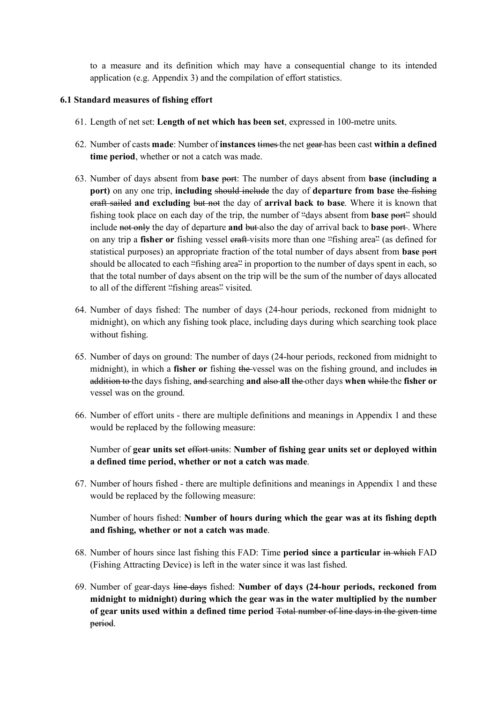to a measure and its definition which may have a consequential change to its intended application (e.g. Appendix 3) and the compilation of effort statistics.

#### **6.1 Standard measures of fishing effort**

- 61. Length of net set: **Length of net which has been set**, expressed in 100-metre units.
- 62. Number of casts **made**: Number of **instances** times the net gear has been cast **within a defined time period**, whether or not a catch was made.
- 63. Number of days absent from **base** port: The number of days absent from **base (including a port)** on any one trip, **including** should include the day of **departure from base** the fishing craft sailed **and excluding** but not the day of **arrival back to base**. Where it is known that fishing took place on each day of the trip, the number of "days absent from **base** port" should include not only the day of departure and but also the day of arrival back to **base** port. Where on any trip a **fisher or** fishing vessel eraft-visits more than one "fishing area" (as defined for statistical purposes) an appropriate fraction of the total number of days absent from **base** port should be allocated to each "fishing area" in proportion to the number of days spent in each, so that the total number of days absent on the trip will be the sum of the number of days allocated to all of the different "fishing areas" visited.
- 64. Number of days fished: The number of days (24-hour periods, reckoned from midnight to midnight), on which any fishing took place, including days during which searching took place without fishing.
- 65. Number of days on ground: The number of days (24-hour periods, reckoned from midnight to midnight), in which a **fisher or** fishing the vessel was on the fishing ground, and includes in addition to the days fishing, and searching **and** also **all** the other days **when** while the **fisher or**  vessel was on the ground.
- 66. Number of effort units there are multiple definitions and meanings in Appendix 1 and these would be replaced by the following measure:

Number of **gear units set** effort units: **Number of fishing gear units set or deployed within a defined time period, whether or not a catch was made**.

67. Number of hours fished - there are multiple definitions and meanings in Appendix 1 and these would be replaced by the following measure:

Number of hours fished: **Number of hours during which the gear was at its fishing depth and fishing, whether or not a catch was made**.

- 68. Number of hours since last fishing this FAD: Time **period since a particular** in which FAD (Fishing Attracting Device) is left in the water since it was last fished.
- 69. Number of gear-days line-days fished: **Number of days (24-hour periods, reckoned from midnight to midnight) during which the gear was in the water multiplied by the number of gear units used within a defined time period** Total number of line days in the given time period.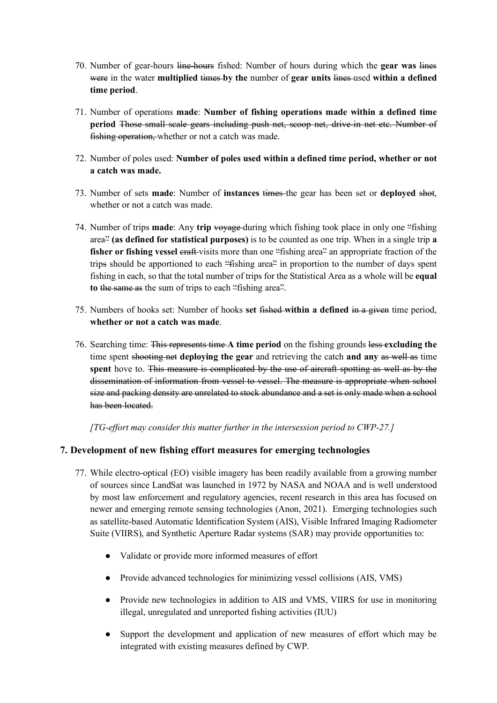- 70. Number of gear-hours line-hours fished: Number of hours during which the **gear was** lines were in the water **multiplied** times **by the** number of **gear units** lines used **within a defined time period**.
- 71. Number of operations **made**: **Number of fishing operations made within a defined time period** Those small scale gears including push net, scoop net, drive-in net etc. Number of fishing operation, whether or not a catch was made.
- 72. Number of poles used: **Number of poles used within a defined time period, whether or not a catch was made.**
- 73. Number of sets **made**: Number of **instances** times the gear has been set or **deployed** shot, whether or not a catch was made.
- 74. Number of trips **made**: Any **trip** voyage during which fishing took place in only one "fishing area" **(as defined for statistical purposes)** is to be counted as one trip. When in a single trip **a fisher or fishing vessel eraft** visits more than one "fishing area" an appropriate fraction of the trips should be apportioned to each "fishing area" in proportion to the number of days spent fishing in each, so that the total number of trips for the Statistical Area as a whole will be **equal to** the same as the sum of trips to each "fishing area".
- 75. Numbers of hooks set: Number of hooks **set** fished **within a defined** in a given time period, **whether or not a catch was made**.
- 76. Searching time: This represents time **A time period** on the fishing grounds less **excluding the** time spent shooting net **deploying the gear** and retrieving the catch **and any** as well as time **spent** hove to. This measure is complicated by the use of aircraft spotting as well as by the dissemination of information from vessel to vessel. The measure is appropriate when school size and packing density are unrelated to stock abundance and a set is only made when a school has been located.

*[TG-effort may consider this matter further in the intersession period to CWP-27.]*

#### **7. Development of new fishing effort measures for emerging technologies**

- 77. While electro-optical (EO) visible imagery has been readily available from a growing number of sources since LandSat was launched in 1972 by NASA and NOAA and is well understood by most law enforcement and regulatory agencies, recent research in this area has focused on newer and emerging remote sensing technologies (Anon, 2021). Emerging technologies such as satellite-based Automatic Identification System (AIS), Visible Infrared Imaging Radiometer Suite (VIIRS), and Synthetic Aperture Radar systems (SAR) may provide opportunities to:
	- Validate or provide more informed measures of effort
	- Provide advanced technologies for minimizing vessel collisions (AIS, VMS)
	- Provide new technologies in addition to AIS and VMS, VIIRS for use in monitoring illegal, unregulated and unreported fishing activities (IUU)
	- Support the development and application of new measures of effort which may be integrated with existing measures defined by CWP.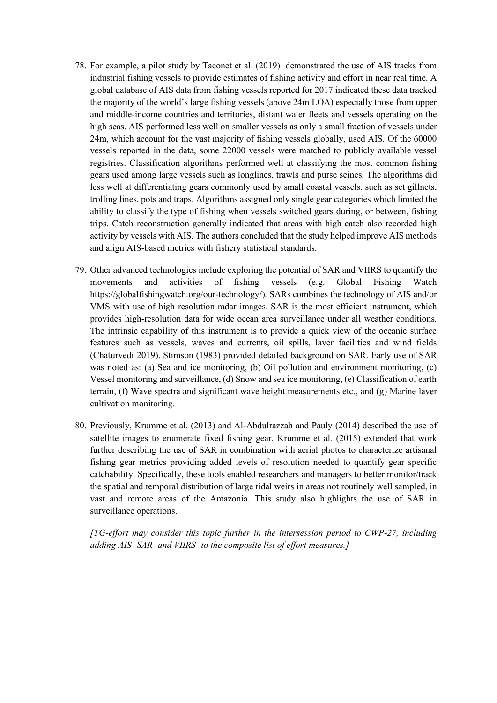- 78. For example, a pilot study by Taconet et al. (2019) demonstrated the use of AIS tracks from industrial fishing vessels to provide estimates of fishing activity and effort in near real time. A global database of AIS data from fishing vessels reported for 2017 indicated these data tracked the majority of the world's large fishing vessels (above 24m LOA) especially those from upper and middle-income countries and territories, distant water fleets and vessels operating on the high seas. AIS performed less well on smaller vessels as only a small fraction of vessels under 24m, which account for the vast majority of fishing vessels globally, used AIS. Of the 60000 vessels reported in the data, some 22000 vessels were matched to publicly available vessel registries. Classification algorithms performed well at classifying the most common fishing gears used among large vessels such as longlines, trawls and purse seines. The algorithms did less well at differentiating gears commonly used by small coastal vessels, such as set gillnets, trolling lines, pots and traps. Algorithms assigned only single gear categories which limited the ability to classify the type of fishing when vessels switched gears during, or between, fishing trips. Catch reconstruction generally indicated that areas with high catch also recorded high activity by vessels with AIS. The authors concluded that the study helped improve AIS methods and align AIS-based metrics with fishery statistical standards.
- 79. Other advanced technologies include exploring the potential of SAR and VIIRS to quantify the movements and activities of fishing vessels (e.g. Global Fishing Watch [https://globalfishingwatch.org/our-technology/\)](https://globalfishingwatch.org/our-technology/). SARs combines the technology of AIS and/or VMS with use of high resolution radar images. SAR is the most efficient instrument, which provides high-resolution data for wide ocean area surveillance under all weather conditions. The intrinsic capability of this instrument is to provide a quick view of the oceanic surface features such as vessels, waves and currents[,](https://www.sciencedirect.com/topics/engineering/oil-spills) [oil spills,](https://www.sciencedirect.com/topics/engineering/oil-spills) laver facilities and wind fields (Chaturvedi 2019). Stimson (1983) provided detailed background on SAR. Early use of SAR was noted as: (a) Sea and ice monitoring, (b) Oil pollution and environment monitoring, (c) Vessel monitoring and surveillance, (d) Snow and sea ice monitoring, (e) Classification of earth terrain, (f) [Wave spectra](https://www.sciencedirect.com/topics/engineering/wave-spectra) and [significant wave height](https://www.sciencedirect.com/topics/engineering/significant-wave-height) measurements etc., and (g) Marine laver cultivation monitoring.
- 80. Previously, Krumme et al. (2013) and Al-Abdulrazzah and Pauly (2014) described the use of satellite images to enumerate fixed fishing gear. Krumme et al. (2015) extended that work further describing the use of SAR in combination with aerial photos to characterize artisanal fishing gear metrics providing added levels of resolution needed to quantify gear specific catchability. Specifically, these tools enabled researchers and managers to better monitor/track the spatial and temporal distribution of large tidal weirs in areas not routinely well sampled, in vast and remote areas of the Amazonia. This study also highlights the use of SAR in surveillance operations.

*[TG-effort may consider this topic further in the intersession period to CWP-27, including adding AIS- SAR- and VIIRS- to the composite list of effort measures.]*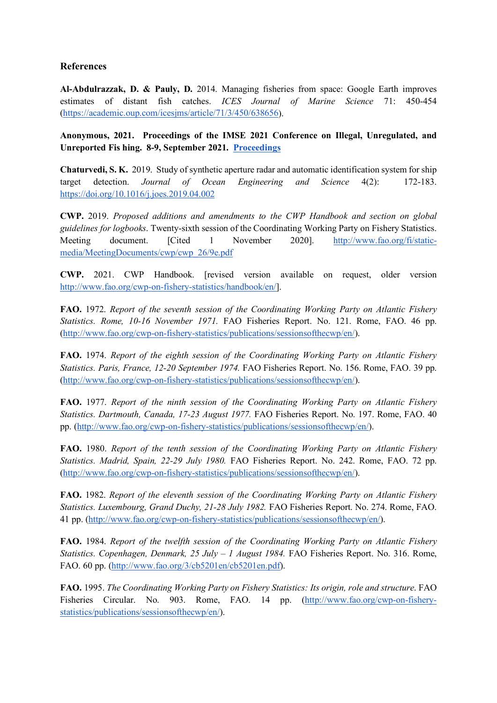# **References**

**Al-Abdulrazzak, D. & Pauly, D.** 2014. Managing fisheries from space: Google Earth improves estimates of distant fish catches. *ICES Journal of Marine Science* 71: 450-454 [\(https://academic.oup.com/icesjms/article/71/3/450/638656\)](https://academic.oup.com/icesjms/article/71/3/450/638656).

**Anonymous, 2021. Proceedings of the IMSE 2021 Conference on Illegal, Unregulated, and Unreported Fis hing. 8-9, September 2021. [Proceedings](https://www.imsehawaii.org/2021-proceedings/written-summary.html)**

**Chaturvedi, S. K.** 2019. Study of synthetic aperture radar and automatic identification system for ship target detection. *Journal of Ocean Engineering and Science* 4(2): 172-183. <https://doi.org/10.1016/j.joes.2019.04.002>

**CWP.** 2019. *Proposed additions and amendments to the CWP Handbook and section on global guidelines for logbooks*. Twenty-sixth session of the Coordinating Working Party on Fishery Statistics. Meeting document. [Cited 1 November 2020]. [http://www.fao.org/fi/static](http://www.fao.org/fi/static-media/MeetingDocuments/cwp/cwp_26/9e.pdf)[media/MeetingDocuments/cwp/cwp\\_26/9e.pdf](http://www.fao.org/fi/static-media/MeetingDocuments/cwp/cwp_26/9e.pdf)

**CWP.** 2021. CWP Handbook. [revised version available on request, older version [http://www.fao.org/cwp-on-fishery-statistics/handbook/en/\]](http://www.fao.org/cwp-on-fishery-statistics/handbook/en/).

**FAO.** 1972. *Report of the seventh session of the Coordinating Working Party on Atlantic Fishery Statistics. Rome, 10-16 November 1971.* FAO Fisheries Report. No. 121. Rome, FAO. 46 pp. [\(http://www.fao.org/cwp-on-fishery-statistics/publications/sessionsofthecwp/en/\)](http://www.fao.org/cwp-on-fishery-statistics/publications/sessionsofthecwp/en/).

**FAO.** 1974. *Report of the eighth session of the Coordinating Working Party on Atlantic Fishery Statistics. Paris, France, 12-20 September 1974.* FAO Fisheries Report. No. 156. Rome, FAO. 39 pp. [\(http://www.fao.org/cwp-on-fishery-statistics/publications/sessionsofthecwp/en/\)](http://www.fao.org/cwp-on-fishery-statistics/publications/sessionsofthecwp/en/).

**FAO.** 1977. *Report of the ninth session of the Coordinating Working Party on Atlantic Fishery Statistics. Dartmouth, Canada, 17-23 August 1977.* FAO Fisheries Report. No. 197. Rome, FAO. 40 pp. [\(http://www.fao.org/cwp-on-fishery-statistics/publications/sessionsofthecwp/en/\)](http://www.fao.org/cwp-on-fishery-statistics/publications/sessionsofthecwp/en/).

**FAO.** 1980. *Report of the tenth session of the Coordinating Working Party on Atlantic Fishery Statistics. Madrid, Spain, 22-29 July 1980.* FAO Fisheries Report. No. 242. Rome, FAO. 72 pp. [\(http://www.fao.org/cwp-on-fishery-statistics/publications/sessionsofthecwp/en/\)](http://www.fao.org/cwp-on-fishery-statistics/publications/sessionsofthecwp/en/).

**FAO.** 1982. *Report of the eleventh session of the Coordinating Working Party on Atlantic Fishery Statistics. Luxembourg, Grand Duchy, 21-28 July 1982.* FAO Fisheries Report. No. 274. Rome, FAO. 41 pp. [\(http://www.fao.org/cwp-on-fishery-statistics/publications/sessionsofthecwp/en/\)](http://www.fao.org/cwp-on-fishery-statistics/publications/sessionsofthecwp/en/).

**FAO.** 1984. *Report of the twelfth session of the Coordinating Working Party on Atlantic Fishery Statistics. Copenhagen, Denmark, 25 July – 1 August 1984.* FAO Fisheries Report. No. 316. Rome, FAO. 60 pp. [\(http://www.fao.org/3/cb5201en/cb5201en.pdf\)](http://www.fao.org/3/cb5201en/cb5201en.pdf).

**FAO.** 1995. *The Coordinating Working Party on Fishery Statistics: Its origin, role and structure*. FAO Fisheries Circular. No. 903. Rome, FAO. 14 pp. [\(http://www.fao.org/cwp-on-fishery](http://www.fao.org/cwp-on-fishery-statistics/publications/sessionsofthecwp/en/)[statistics/publications/sessionsofthecwp/en/\)](http://www.fao.org/cwp-on-fishery-statistics/publications/sessionsofthecwp/en/).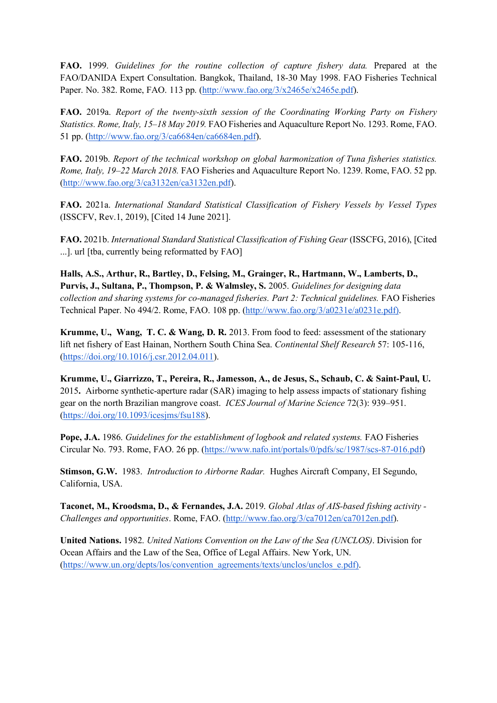**FAO.** 1999. *Guidelines for the routine collection of capture fishery data.* Prepared at the FAO/DANIDA Expert Consultation. Bangkok, Thailand, 18-30 May 1998. FAO Fisheries Technical Paper. No. 382. Rome, FAO. 113 pp. [\(http://www.fao.org/3/x2465e/x2465e.pdf\)](http://www.fao.org/3/x2465e/x2465e.pdf).

**FAO.** 2019a. *Report of the twenty-sixth session of the Coordinating Working Party on Fishery Statistics. Rome, Italy, 15–18 May 2019.* FAO Fisheries and Aquaculture Report No. 1293. Rome, FAO. 51 pp. [\(http://www.fao.org/3/ca6684en/ca6684en.pdf\)](http://www.fao.org/3/ca6684en/ca6684en.pdf).

**FAO.** 2019b. *Report of the technical workshop on global harmonization of Tuna fisheries statistics. Rome, Italy, 19–22 March 2018.* FAO Fisheries and Aquaculture Report No. 1239. Rome, FAO. 52 pp. [\(http://www.fao.org/3/ca3132en/ca3132en.pdf\)](http://www.fao.org/3/ca3132en/ca3132en.pdf).

**FAO.** 2021a. *International Standard Statistical Classification of Fishery Vessels by Vessel Types*  (ISSCFV, Rev.1, 2019), [Cited 14 June 2021].

**FAO.** 2021b. *International Standard Statistical Classification of Fishing Gear* (ISSCFG, 2016), [Cited ...]. url [tba, currently being reformatted by FAO]

**Halls, A.S., Arthur, R., Bartley, D., Felsing, M., Grainger, R., Hartmann, W., Lamberts, D., Purvis, J., Sultana, P., Thompson, P. & Walmsley, S.** 2005. *Guidelines for designing data collection and sharing systems for co-managed fisheries. Part 2: Technical guidelines.* FAO Fisheries Technical Paper. No 494/2. Rome, FAO. 108 pp. [\(http://www.fao.org/3/a0231e/a0231e.pdf\)](http://www.fao.org/3/a0231e/a0231e.pdf)).

**Krumme, U., Wang, T. C. & Wang, D. R.** 2013. From food to feed: assessment of the stationary lift net fishery of East Hainan, Northern South China Sea. *Continental Shelf Research* 57: 105-116, [\(https://doi.org/10.1016/j.csr.2012.04.011\)](https://doi.org/10.1016/j.csr.2012.04.011).

**Krumme, U., Giarrizzo, T., Pereira, R., Jamesson, A., de Jesus, S., Schaub, C. & Saint-Paul, U.**  2015**.** Airborne synthetic-aperture radar (SAR) imaging to help assess impacts of stationary fishing gear on the north Brazilian mangrove coast. *ICES Journal of Marine Science* 72(3): 939–951. [\(https://doi.org/10.1093/icesjms/fsu188\)](https://doi.org/10.1093/icesjms/fsu188).

**Pope, J.A.** 1986. *Guidelines for the establishment of logbook and related systems.* FAO Fisheries Circular No. 793. Rome, FAO. 26 pp. [\(https://www.nafo.int/portals/0/pdfs/sc/1987/scs-87-016.pdf\)](https://www.nafo.int/portals/0/pdfs/sc/1987/scs-87-016.pdf)

**Stimson, G.W.** 1983. *Introduction to Airborne Radar.*Hughes Aircraft Company, EI Segundo, California, USA.

**Taconet, M., Kroodsma, D., & Fernandes, J.A.** 2019. *Global Atlas of AIS-based fishing activity - Challenges and opportunities*. Rome, FAO. [\(http://www.fao.org/3/ca7012en/ca7012en.pdf\)](http://www.fao.org/3/ca7012en/ca7012en.pdf).

**United Nations.** 1982. *United Nations Convention on the Law of the Sea (UNCLOS)*. Division for Ocean Affairs and the Law of the Sea, Office of Legal Affairs. New York, UN. [\(https://www.un.org/depts/los/convention\\_agreements/texts/unclos/unclos\\_e.pdf\).](https://www.un.org/depts/los/convention_agreements/texts/unclos/unclos_e.pdf))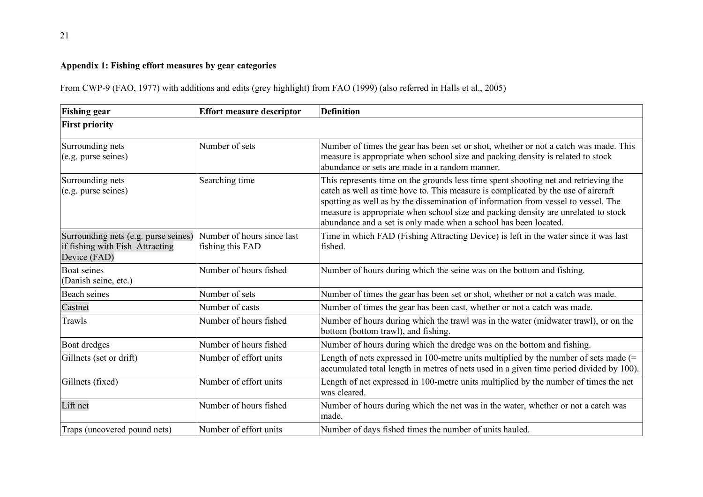# **Appendix 1: Fishing effort measures by gear categories**

From CWP-9 (FAO, 1977) with additions and edits (grey highlight) from FAO (1999) (also referred in Halls et al., 2005)

| <b>Fishing gear</b>                                                                     | <b>Effort measure descriptor</b>               | <b>Definition</b>                                                                                                                                                                                                                                                                                                                                                                                                        |
|-----------------------------------------------------------------------------------------|------------------------------------------------|--------------------------------------------------------------------------------------------------------------------------------------------------------------------------------------------------------------------------------------------------------------------------------------------------------------------------------------------------------------------------------------------------------------------------|
| <b>First priority</b>                                                                   |                                                |                                                                                                                                                                                                                                                                                                                                                                                                                          |
| Surrounding nets<br>(e.g. purse seines)                                                 | Number of sets                                 | Number of times the gear has been set or shot, whether or not a catch was made. This<br>measure is appropriate when school size and packing density is related to stock<br>abundance or sets are made in a random manner.                                                                                                                                                                                                |
| Surrounding nets<br>(e.g. purse seines)                                                 | Searching time                                 | This represents time on the grounds less time spent shooting net and retrieving the<br>catch as well as time hove to. This measure is complicated by the use of aircraft<br>spotting as well as by the dissemination of information from vessel to vessel. The<br>measure is appropriate when school size and packing density are unrelated to stock<br>abundance and a set is only made when a school has been located. |
| Surrounding nets (e.g. purse seines)<br>if fishing with Fish Attracting<br>Device (FAD) | Number of hours since last<br>fishing this FAD | Time in which FAD (Fishing Attracting Device) is left in the water since it was last<br>fished.                                                                                                                                                                                                                                                                                                                          |
| Boat seines<br>(Danish seine, etc.)                                                     | Number of hours fished                         | Number of hours during which the seine was on the bottom and fishing.                                                                                                                                                                                                                                                                                                                                                    |
| <b>Beach seines</b>                                                                     | Number of sets                                 | Number of times the gear has been set or shot, whether or not a catch was made.                                                                                                                                                                                                                                                                                                                                          |
| Castnet                                                                                 | Number of casts                                | Number of times the gear has been cast, whether or not a catch was made.                                                                                                                                                                                                                                                                                                                                                 |
| Trawls                                                                                  | Number of hours fished                         | Number of hours during which the trawl was in the water (midwater trawl), or on the<br>bottom (bottom trawl), and fishing.                                                                                                                                                                                                                                                                                               |
| <b>Boat dredges</b>                                                                     | Number of hours fished                         | Number of hours during which the dredge was on the bottom and fishing.                                                                                                                                                                                                                                                                                                                                                   |
| Gillnets (set or drift)                                                                 | Number of effort units                         | Length of nets expressed in 100-metre units multiplied by the number of sets made $(=$<br>accumulated total length in metres of nets used in a given time period divided by 100).                                                                                                                                                                                                                                        |
| Gillnets (fixed)                                                                        | Number of effort units                         | Length of net expressed in 100-metre units multiplied by the number of times the net<br>was cleared.                                                                                                                                                                                                                                                                                                                     |
| Lift net                                                                                | Number of hours fished                         | Number of hours during which the net was in the water, whether or not a catch was<br>made.                                                                                                                                                                                                                                                                                                                               |
| Traps (uncovered pound nets)                                                            | Number of effort units                         | Number of days fished times the number of units hauled.                                                                                                                                                                                                                                                                                                                                                                  |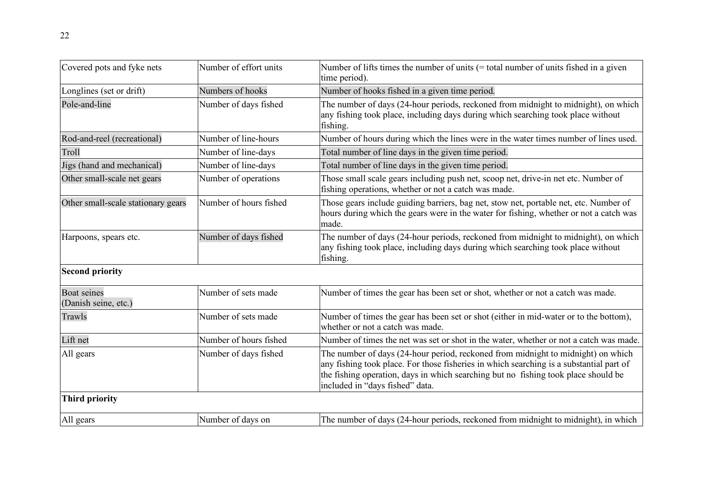| Covered pots and fyke nets                 | Number of effort units | Number of lifts times the number of units $($ = total number of units fished in a given<br>time period).                                                                                                                                                                                             |
|--------------------------------------------|------------------------|------------------------------------------------------------------------------------------------------------------------------------------------------------------------------------------------------------------------------------------------------------------------------------------------------|
| Longlines (set or drift)                   | Numbers of hooks       | Number of hooks fished in a given time period.                                                                                                                                                                                                                                                       |
| Pole-and-line                              | Number of days fished  | The number of days (24-hour periods, reckoned from midnight to midnight), on which<br>any fishing took place, including days during which searching took place without<br>fishing.                                                                                                                   |
| Rod-and-reel (recreational)                | Number of line-hours   | Number of hours during which the lines were in the water times number of lines used.                                                                                                                                                                                                                 |
| Troll                                      | Number of line-days    | Total number of line days in the given time period.                                                                                                                                                                                                                                                  |
| Jigs (hand and mechanical)                 | Number of line-days    | Total number of line days in the given time period.                                                                                                                                                                                                                                                  |
| Other small-scale net gears                | Number of operations   | Those small scale gears including push net, scoop net, drive-in net etc. Number of<br>fishing operations, whether or not a catch was made.                                                                                                                                                           |
| Other small-scale stationary gears         | Number of hours fished | Those gears include guiding barriers, bag net, stow net, portable net, etc. Number of<br>hours during which the gears were in the water for fishing, whether or not a catch was<br>made.                                                                                                             |
| Harpoons, spears etc.                      | Number of days fished  | The number of days (24-hour periods, reckoned from midnight to midnight), on which<br>any fishing took place, including days during which searching took place without<br>fishing.                                                                                                                   |
| <b>Second priority</b>                     |                        |                                                                                                                                                                                                                                                                                                      |
| <b>Boat seines</b><br>(Danish seine, etc.) | Number of sets made    | Number of times the gear has been set or shot, whether or not a catch was made.                                                                                                                                                                                                                      |
| Trawls                                     | Number of sets made    | Number of times the gear has been set or shot (either in mid-water or to the bottom),<br>whether or not a catch was made.                                                                                                                                                                            |
| Lift net                                   | Number of hours fished | Number of times the net was set or shot in the water, whether or not a catch was made.                                                                                                                                                                                                               |
| All gears                                  | Number of days fished  | The number of days (24-hour period, reckoned from midnight to midnight) on which<br>any fishing took place. For those fisheries in which searching is a substantial part of<br>the fishing operation, days in which searching but no fishing took place should be<br>included in "days fished" data. |
| <b>Third priority</b>                      |                        |                                                                                                                                                                                                                                                                                                      |
| All gears                                  | Number of days on      | The number of days (24-hour periods, reckoned from midnight to midnight), in which                                                                                                                                                                                                                   |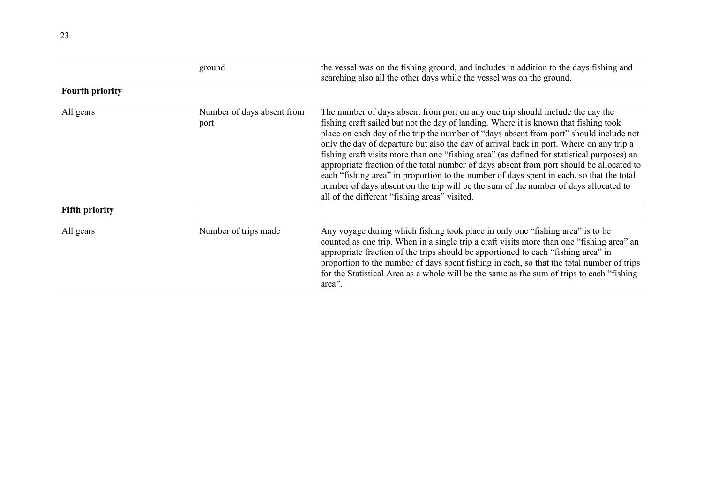|                        | ground                             | the vessel was on the fishing ground, and includes in addition to the days fishing and<br>searching also all the other days while the vessel was on the ground.                                                                                                                                                                                                                                                                                                                                                                                                                                                                                                                                                                                                                            |  |  |  |  |
|------------------------|------------------------------------|--------------------------------------------------------------------------------------------------------------------------------------------------------------------------------------------------------------------------------------------------------------------------------------------------------------------------------------------------------------------------------------------------------------------------------------------------------------------------------------------------------------------------------------------------------------------------------------------------------------------------------------------------------------------------------------------------------------------------------------------------------------------------------------------|--|--|--|--|
| <b>Fourth priority</b> |                                    |                                                                                                                                                                                                                                                                                                                                                                                                                                                                                                                                                                                                                                                                                                                                                                                            |  |  |  |  |
| All gears              | Number of days absent from<br>port | The number of days absent from port on any one trip should include the day the<br>fishing craft sailed but not the day of landing. Where it is known that fishing took<br>place on each day of the trip the number of "days absent from port" should include not<br>only the day of departure but also the day of arrival back in port. Where on any trip a<br>fishing craft visits more than one "fishing area" (as defined for statistical purposes) an<br>appropriate fraction of the total number of days absent from port should be allocated to<br>each "fishing area" in proportion to the number of days spent in each, so that the total<br>number of days absent on the trip will be the sum of the number of days allocated to<br>all of the different "fishing areas" visited. |  |  |  |  |
| <b>Fifth priority</b>  |                                    |                                                                                                                                                                                                                                                                                                                                                                                                                                                                                                                                                                                                                                                                                                                                                                                            |  |  |  |  |
| All gears              | Number of trips made               | Any voyage during which fishing took place in only one "fishing area" is to be<br>counted as one trip. When in a single trip a craft visits more than one "fishing area" an<br>appropriate fraction of the trips should be apportioned to each "fishing area" in<br>proportion to the number of days spent fishing in each, so that the total number of trips<br>for the Statistical Area as a whole will be the same as the sum of trips to each "fishing"<br>area".                                                                                                                                                                                                                                                                                                                      |  |  |  |  |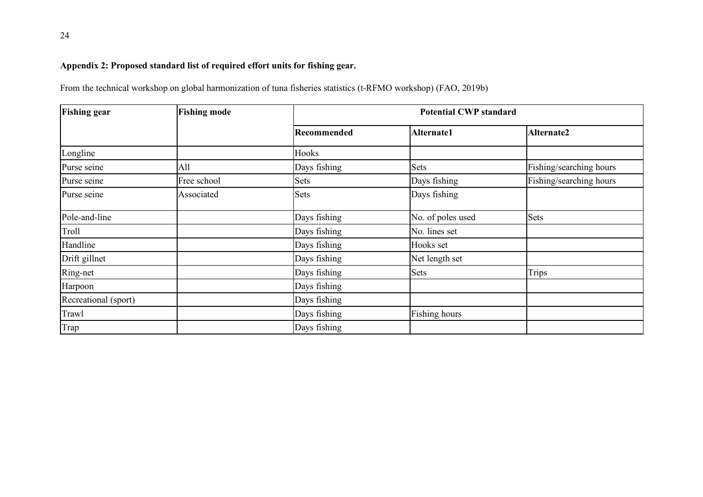# **Appendix 2: Proposed standard list of required effort units for fishing gear.**

From the technical workshop on global harmonization of tuna fisheries statistics (t-RFMO workshop) (FAO, 2019b)

| <b>Fishing gear</b>  | <b>Fishing mode</b> |              | <b>Potential CWP standard</b> |                         |  |  |  |  |
|----------------------|---------------------|--------------|-------------------------------|-------------------------|--|--|--|--|
|                      |                     | Recommended  | Alternate1                    | <b>Alternate2</b>       |  |  |  |  |
| Longline             |                     | Hooks        |                               |                         |  |  |  |  |
| Purse seine          | All                 | Days fishing | Sets                          | Fishing/searching hours |  |  |  |  |
| Purse seine          | Free school         | <b>Sets</b>  | Days fishing                  | Fishing/searching hours |  |  |  |  |
| Purse seine          | Associated          | Sets         | Days fishing                  |                         |  |  |  |  |
| Pole-and-line        |                     | Days fishing | No. of poles used             | <b>Sets</b>             |  |  |  |  |
| Troll                |                     | Days fishing | No. lines set                 |                         |  |  |  |  |
| Handline             |                     | Days fishing | Hooks set                     |                         |  |  |  |  |
| Drift gillnet        |                     | Days fishing | Net length set                |                         |  |  |  |  |
| Ring-net             |                     | Days fishing | Sets                          | <b>Trips</b>            |  |  |  |  |
| Harpoon              |                     | Days fishing |                               |                         |  |  |  |  |
| Recreational (sport) |                     | Days fishing |                               |                         |  |  |  |  |
| <b>Trawl</b>         |                     | Days fishing | Fishing hours                 |                         |  |  |  |  |
| Trap                 |                     | Days fishing |                               |                         |  |  |  |  |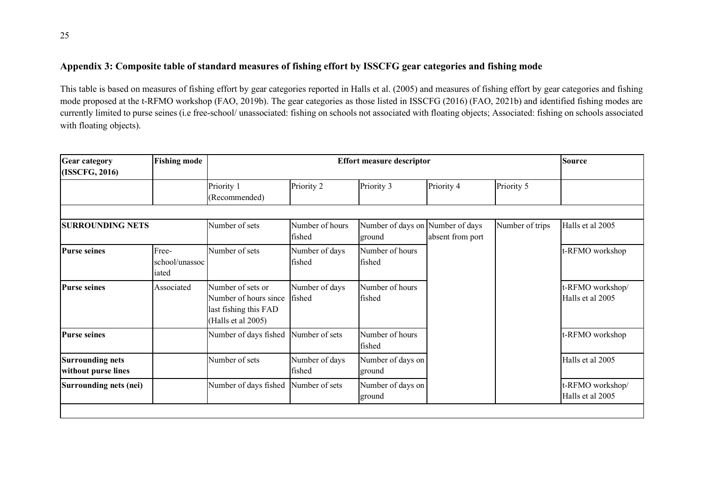# **Appendix 3: Composite table of standard measures of fishing effort by ISSCFG gear categories and fishing mode**

This table is based on measures of fishing effort by gear categories reported in Halls et al. (2005) and measures of fishing effort by gear categories and fishing mode proposed at the t-RFMO workshop (FAO, 2019b). The gear categories as those listed in ISSCFG (2016) (FAO, 2021b) and identified fishing modes are currently limited to purse seines (i.e free-school/ unassociated: fishing on schools not associated with floating objects; Associated: fishing on schools associated with floating objects).

| <b>Gear category</b><br>(ISSCFG, 2016)         | <b>Fishing mode</b>              | <b>Effort measure descriptor</b>                                                          |                           |                                            |                  |                 | <b>Source</b>                        |
|------------------------------------------------|----------------------------------|-------------------------------------------------------------------------------------------|---------------------------|--------------------------------------------|------------------|-----------------|--------------------------------------|
|                                                |                                  | Priority 1<br>(Recommended)                                                               | Priority 2                | Priority 3                                 | Priority 4       | Priority 5      |                                      |
|                                                |                                  |                                                                                           |                           |                                            |                  |                 |                                      |
| <b>SURROUNDING NETS</b>                        |                                  | Number of sets                                                                            | Number of hours<br>fished | Number of days on Number of days<br>ground | absent from port | Number of trips | Halls et al 2005                     |
| <b>Purse seines</b>                            | Free-<br>school/unassoc<br>iated | Number of sets                                                                            | Number of days<br>fished  | Number of hours<br>fished                  |                  |                 | t-RFMO workshop                      |
| <b>Purse seines</b>                            | Associated                       | Number of sets or<br>Number of hours since<br>last fishing this FAD<br>(Halls et al 2005) | Number of days<br>fished  | Number of hours<br>fished                  |                  |                 | -RFMO workshop/<br>Halls et al 2005  |
| <b>Purse seines</b>                            |                                  | Number of days fished                                                                     | Number of sets            | Number of hours<br>fished                  |                  |                 | -RFMO workshop                       |
| <b>Surrounding nets</b><br>without purse lines |                                  | Number of sets                                                                            | Number of days<br>fished  | Number of days on<br>ground                |                  |                 | Halls et al 2005                     |
| Surrounding nets (nei)                         |                                  | Number of days fished                                                                     | Number of sets            | Number of days on<br>ground                |                  |                 | :-RFMO workshop/<br>Halls et al 2005 |
|                                                |                                  |                                                                                           |                           |                                            |                  |                 |                                      |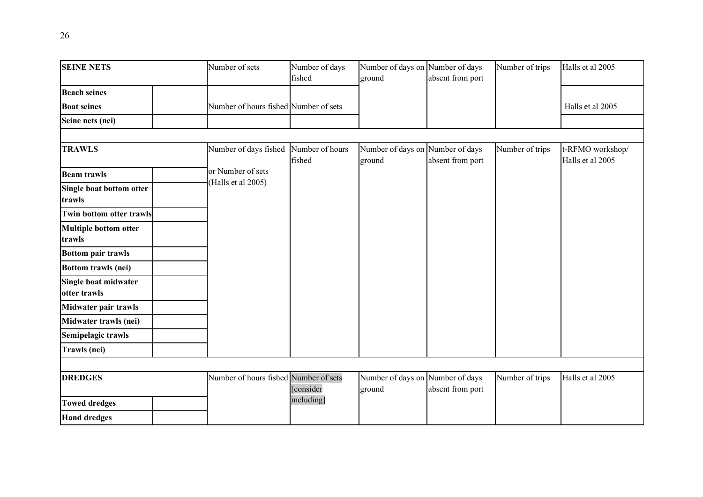| <b>SEINE NETS</b>                      | Number of sets                        | Number of days<br>fished  | Number of days on Number of days<br>ground | absent from port | Number of trips | Halls et al 2005                     |
|----------------------------------------|---------------------------------------|---------------------------|--------------------------------------------|------------------|-----------------|--------------------------------------|
| <b>Beach seines</b>                    |                                       |                           |                                            |                  |                 |                                      |
| <b>Boat seines</b>                     | Number of hours fished Number of sets |                           |                                            |                  |                 | Halls et al 2005                     |
| Seine nets (nei)                       |                                       |                           |                                            |                  |                 |                                      |
| <b>TRAWLS</b>                          | Number of days fished                 | Number of hours<br>fished | Number of days on Number of days<br>ground | absent from port | Number of trips | t-RFMO workshop/<br>Halls et al 2005 |
| <b>Beam trawls</b>                     | or Number of sets                     |                           |                                            |                  |                 |                                      |
| Single boat bottom otter<br>trawls     | (Halls et al 2005)                    |                           |                                            |                  |                 |                                      |
| <b>Twin bottom otter trawls</b>        |                                       |                           |                                            |                  |                 |                                      |
| <b>Multiple bottom otter</b><br>trawls |                                       |                           |                                            |                  |                 |                                      |
| <b>Bottom pair trawls</b>              |                                       |                           |                                            |                  |                 |                                      |
| <b>Bottom trawls (nei)</b>             |                                       |                           |                                            |                  |                 |                                      |
| Single boat midwater<br>otter trawls   |                                       |                           |                                            |                  |                 |                                      |
| Midwater pair trawls                   |                                       |                           |                                            |                  |                 |                                      |
| Midwater trawls (nei)                  |                                       |                           |                                            |                  |                 |                                      |
| Semipelagic trawls                     |                                       |                           |                                            |                  |                 |                                      |
| Trawls (nei)                           |                                       |                           |                                            |                  |                 |                                      |
|                                        |                                       |                           |                                            |                  |                 |                                      |
| <b>DREDGES</b>                         | Number of hours fished Number of sets | [consider                 | Number of days on Number of days<br>ground | absent from port | Number of trips | Halls et al 2005                     |
| <b>Towed dredges</b>                   |                                       | including]                |                                            |                  |                 |                                      |
| <b>Hand dredges</b>                    |                                       |                           |                                            |                  |                 |                                      |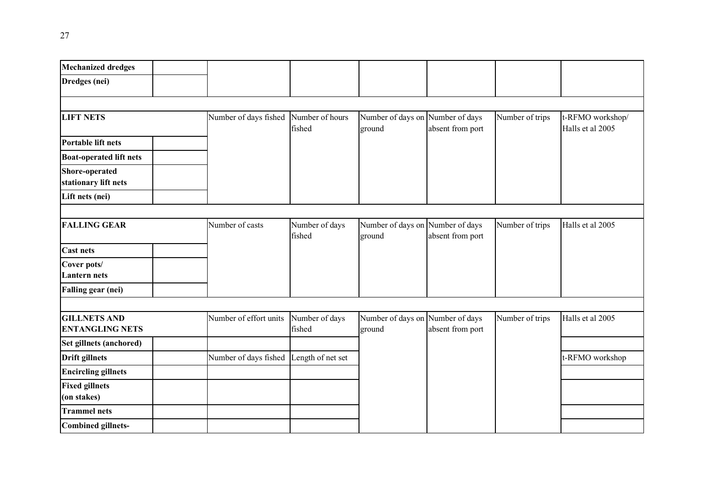| <b>Mechanized dredges</b>                     |                        |                           |                                            |                  |                 |                                      |
|-----------------------------------------------|------------------------|---------------------------|--------------------------------------------|------------------|-----------------|--------------------------------------|
| Dredges (nei)                                 |                        |                           |                                            |                  |                 |                                      |
|                                               |                        |                           |                                            |                  |                 |                                      |
| <b>LIFT NETS</b>                              | Number of days fished  | Number of hours<br>fished | Number of days on Number of days<br>ground | absent from port | Number of trips | t-RFMO workshop/<br>Halls et al 2005 |
| <b>Portable lift nets</b>                     |                        |                           |                                            |                  |                 |                                      |
| <b>Boat-operated lift nets</b>                |                        |                           |                                            |                  |                 |                                      |
| <b>Shore-operated</b><br>stationary lift nets |                        |                           |                                            |                  |                 |                                      |
| Lift nets (nei)                               |                        |                           |                                            |                  |                 |                                      |
|                                               |                        |                           |                                            |                  |                 |                                      |
| <b>FALLING GEAR</b>                           | Number of casts        | Number of days<br>fished  | Number of days on Number of days<br>ground | absent from port | Number of trips | Halls et al 2005                     |
| <b>Cast nets</b>                              |                        |                           |                                            |                  |                 |                                      |
| Cover pots/<br><b>Lantern</b> nets            |                        |                           |                                            |                  |                 |                                      |
| <b>Falling gear (nei)</b>                     |                        |                           |                                            |                  |                 |                                      |
|                                               |                        |                           |                                            |                  |                 |                                      |
| <b>GILLNETS AND</b><br><b>ENTANGLING NETS</b> | Number of effort units | Number of days<br>fished  | Number of days on Number of days<br>ground | absent from port | Number of trips | Halls et al 2005                     |
| Set gillnets (anchored)                       |                        |                           |                                            |                  |                 |                                      |
| <b>Drift gillnets</b>                         | Number of days fished  | Length of net set         |                                            |                  |                 | t-RFMO workshop                      |
| <b>Encircling gillnets</b>                    |                        |                           |                                            |                  |                 |                                      |
| <b>Fixed gillnets</b><br>(on stakes)          |                        |                           |                                            |                  |                 |                                      |
| <b>Trammel nets</b>                           |                        |                           |                                            |                  |                 |                                      |
| <b>Combined gillnets-</b>                     |                        |                           |                                            |                  |                 |                                      |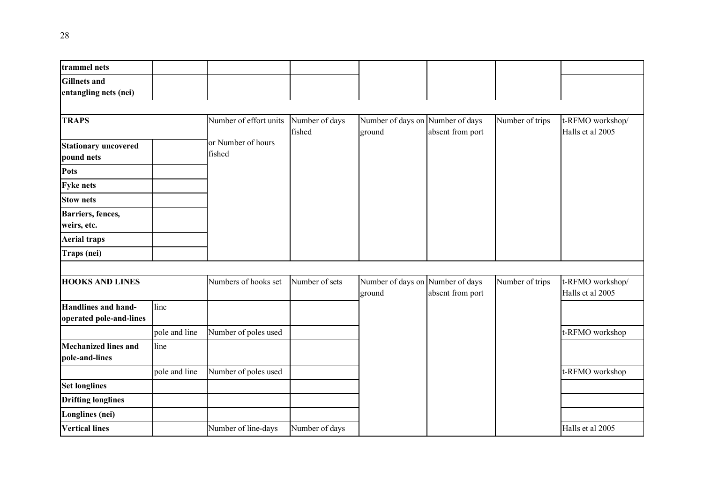| trammel nets                                          |               |                              |                          |                                            |                  |                 |                                      |
|-------------------------------------------------------|---------------|------------------------------|--------------------------|--------------------------------------------|------------------|-----------------|--------------------------------------|
| <b>Gillnets</b> and<br>entangling nets (nei)          |               |                              |                          |                                            |                  |                 |                                      |
|                                                       |               |                              |                          |                                            |                  |                 |                                      |
| <b>TRAPS</b>                                          |               | Number of effort units       | Number of days<br>fished | Number of days on Number of days<br>ground | absent from port | Number of trips | t-RFMO workshop/<br>Halls et al 2005 |
| <b>Stationary uncovered</b><br>pound nets             |               | or Number of hours<br>fished |                          |                                            |                  |                 |                                      |
| Pots                                                  |               |                              |                          |                                            |                  |                 |                                      |
| <b>Fyke nets</b>                                      |               |                              |                          |                                            |                  |                 |                                      |
| <b>Stow nets</b>                                      |               |                              |                          |                                            |                  |                 |                                      |
| Barriers, fences,<br>weirs, etc.                      |               |                              |                          |                                            |                  |                 |                                      |
| <b>Aerial traps</b>                                   |               |                              |                          |                                            |                  |                 |                                      |
| Traps (nei)                                           |               |                              |                          |                                            |                  |                 |                                      |
|                                                       |               |                              |                          |                                            |                  |                 |                                      |
| <b>HOOKS AND LINES</b>                                |               | Numbers of hooks set         | Number of sets           | Number of days on Number of days<br>ground | absent from port | Number of trips | t-RFMO workshop/<br>Halls et al 2005 |
| <b>Handlines and hand-</b><br>operated pole-and-lines | line          |                              |                          |                                            |                  |                 |                                      |
|                                                       | pole and line | Number of poles used         |                          |                                            |                  |                 | t-RFMO workshop                      |
| <b>Mechanized lines and</b><br>pole-and-lines         | line          |                              |                          |                                            |                  |                 |                                      |
|                                                       | pole and line | Number of poles used         |                          |                                            |                  |                 | t-RFMO workshop                      |
| <b>Set longlines</b>                                  |               |                              |                          |                                            |                  |                 |                                      |
| <b>Drifting longlines</b>                             |               |                              |                          |                                            |                  |                 |                                      |
| Longlines (nei)                                       |               |                              |                          |                                            |                  |                 |                                      |
| <b>Vertical lines</b>                                 |               | Number of line-days          | Number of days           |                                            |                  |                 | Halls et al 2005                     |
|                                                       |               |                              |                          |                                            |                  |                 |                                      |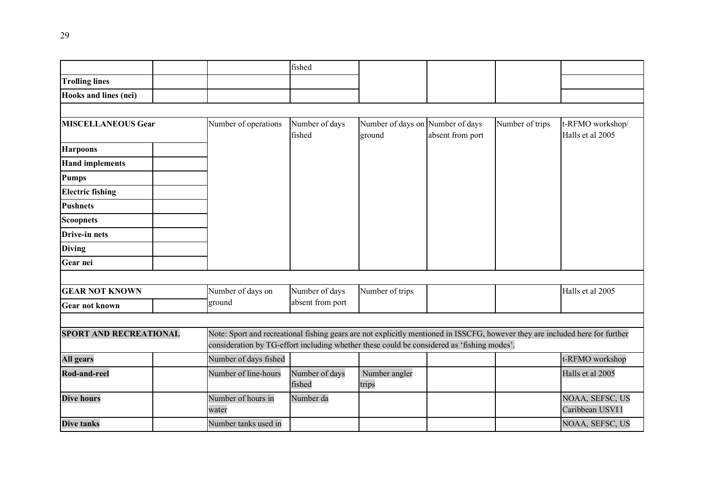|                               |                             | fished                                                                                                                                                                                                                      |                                            |                  |                 |                                      |  |  |
|-------------------------------|-----------------------------|-----------------------------------------------------------------------------------------------------------------------------------------------------------------------------------------------------------------------------|--------------------------------------------|------------------|-----------------|--------------------------------------|--|--|
| <b>Trolling lines</b>         |                             |                                                                                                                                                                                                                             |                                            |                  |                 |                                      |  |  |
| Hooks and lines (nei)         |                             |                                                                                                                                                                                                                             |                                            |                  |                 |                                      |  |  |
|                               |                             |                                                                                                                                                                                                                             |                                            |                  |                 |                                      |  |  |
| <b>MISCELLANEOUS Gear</b>     | Number of operations        | Number of days<br>fished                                                                                                                                                                                                    | Number of days on Number of days<br>ground | absent from port | Number of trips | t-RFMO workshop/<br>Halls et al 2005 |  |  |
| <b>Harpoons</b>               |                             |                                                                                                                                                                                                                             |                                            |                  |                 |                                      |  |  |
| <b>Hand implements</b>        |                             |                                                                                                                                                                                                                             |                                            |                  |                 |                                      |  |  |
| <b>Pumps</b>                  |                             |                                                                                                                                                                                                                             |                                            |                  |                 |                                      |  |  |
| <b>Electric fishing</b>       |                             |                                                                                                                                                                                                                             |                                            |                  |                 |                                      |  |  |
| <b>Pushnets</b>               |                             |                                                                                                                                                                                                                             |                                            |                  |                 |                                      |  |  |
| <b>Scoopnets</b>              |                             |                                                                                                                                                                                                                             |                                            |                  |                 |                                      |  |  |
| <b>Drive-in nets</b>          |                             |                                                                                                                                                                                                                             |                                            |                  |                 |                                      |  |  |
| <b>Diving</b>                 |                             |                                                                                                                                                                                                                             |                                            |                  |                 |                                      |  |  |
| Gear nei                      |                             |                                                                                                                                                                                                                             |                                            |                  |                 |                                      |  |  |
|                               |                             |                                                                                                                                                                                                                             |                                            |                  |                 |                                      |  |  |
| <b>GEAR NOT KNOWN</b>         | Number of days on           | Number of days                                                                                                                                                                                                              | Number of trips                            |                  |                 | Halls et al 2005                     |  |  |
| <b>Gear not known</b>         | ground                      | absent from port                                                                                                                                                                                                            |                                            |                  |                 |                                      |  |  |
|                               |                             |                                                                                                                                                                                                                             |                                            |                  |                 |                                      |  |  |
| <b>SPORT AND RECREATIONAL</b> |                             | Note: Sport and recreational fishing gears are not explicitly mentioned in ISSCFG, however they are included here for further<br>consideration by TG-effort including whether these could be considered as 'fishing modes'. |                                            |                  |                 |                                      |  |  |
| <b>All gears</b>              | Number of days fished       |                                                                                                                                                                                                                             |                                            |                  |                 | t-RFMO workshop                      |  |  |
| <b>Rod-and-reel</b>           | Number of line-hours        | Number of days<br>fished                                                                                                                                                                                                    | Number angler<br>trips                     |                  |                 | Halls et al 2005                     |  |  |
| <b>Dive hours</b>             | Number of hours in<br>water | Number da                                                                                                                                                                                                                   |                                            |                  |                 | NOAA, SEFSC, US<br>Caribbean USVI l  |  |  |
| <b>Dive tanks</b>             | Number tanks used in        |                                                                                                                                                                                                                             |                                            |                  |                 | NOAA, SEFSC, US                      |  |  |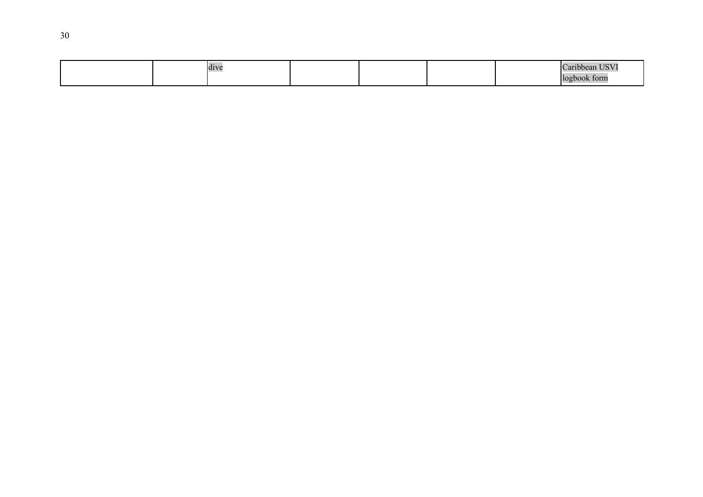|  | dive |  |  | Caribbean USV <sub>1</sub> |
|--|------|--|--|----------------------------|
|  |      |  |  | book form                  |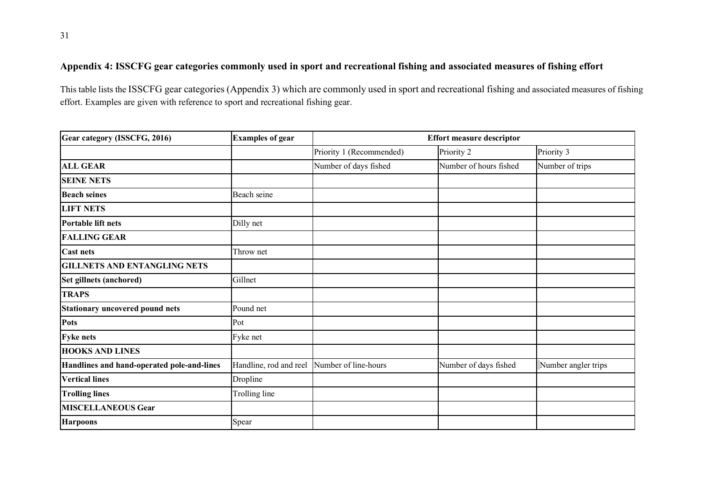# **Appendix 4: ISSCFG gear categories commonly used in sport and recreational fishing and associated measures of fishing effort**

This table lists the ISSCFG gear categories (Appendix 3) which are commonly used in sport and recreational fishing and associated measures of fishing effort. Examples are given with reference to sport and recreational fishing gear.

| Gear category (ISSCFG, 2016)               | <b>Examples of gear</b> | <b>Effort measure descriptor</b> |                        |                     |  |  |  |
|--------------------------------------------|-------------------------|----------------------------------|------------------------|---------------------|--|--|--|
|                                            |                         | Priority 1 (Recommended)         | Priority 2             | Priority 3          |  |  |  |
| <b>ALL GEAR</b>                            |                         | Number of days fished            | Number of hours fished | Number of trips     |  |  |  |
| <b>SEINE NETS</b>                          |                         |                                  |                        |                     |  |  |  |
| <b>Beach seines</b>                        | Beach seine             |                                  |                        |                     |  |  |  |
| <b>LIFT NETS</b>                           |                         |                                  |                        |                     |  |  |  |
| Portable lift nets                         | Dilly net               |                                  |                        |                     |  |  |  |
| <b>FALLING GEAR</b>                        |                         |                                  |                        |                     |  |  |  |
| <b>Cast nets</b>                           | Throw net               |                                  |                        |                     |  |  |  |
| <b>GILLNETS AND ENTANGLING NETS</b>        |                         |                                  |                        |                     |  |  |  |
| Set gillnets (anchored)                    | Gillnet                 |                                  |                        |                     |  |  |  |
| <b>TRAPS</b>                               |                         |                                  |                        |                     |  |  |  |
| <b>Stationary uncovered pound nets</b>     | Pound net               |                                  |                        |                     |  |  |  |
| <b>Pots</b>                                | Pot                     |                                  |                        |                     |  |  |  |
| <b>Fyke nets</b>                           | Fyke net                |                                  |                        |                     |  |  |  |
| <b>HOOKS AND LINES</b>                     |                         |                                  |                        |                     |  |  |  |
| Handlines and hand-operated pole-and-lines | Handline, rod and reel  | Number of line-hours             | Number of days fished  | Number angler trips |  |  |  |
| <b>Vertical lines</b>                      | Dropline                |                                  |                        |                     |  |  |  |
| <b>Trolling lines</b>                      | Trolling line           |                                  |                        |                     |  |  |  |
| <b>MISCELLANEOUS Gear</b>                  |                         |                                  |                        |                     |  |  |  |
| <b>Harpoons</b>                            | Spear                   |                                  |                        |                     |  |  |  |